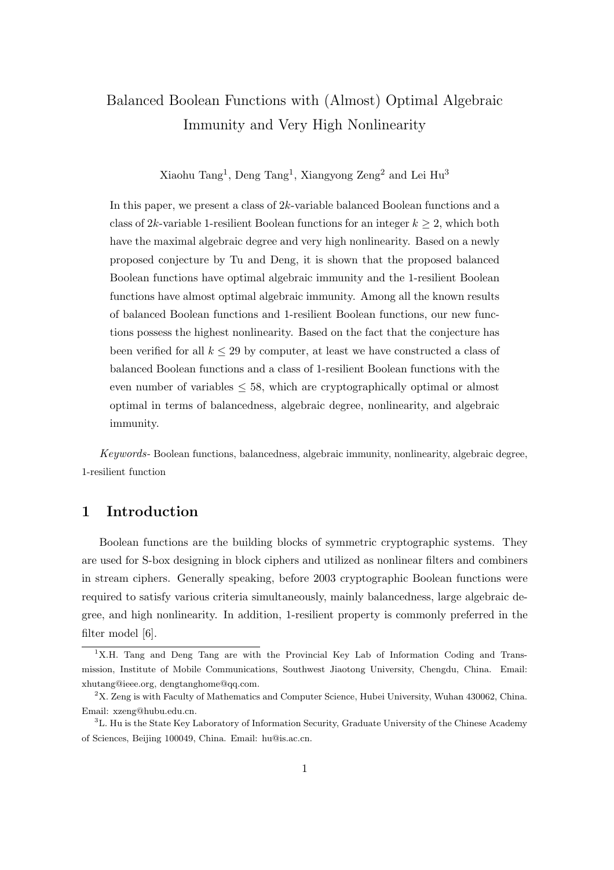# Balanced Boolean Functions with (Almost) Optimal Algebraic Immunity and Very High Nonlinearity

Xiaohu Tang<sup>1</sup>, Deng Tang<sup>1</sup>, Xiangyong Zeng<sup>2</sup> and Lei Hu<sup>3</sup>

In this paper, we present a class of 2k-variable balanced Boolean functions and a class of 2k-variable 1-resilient Boolean functions for an integer  $k \geq 2$ , which both have the maximal algebraic degree and very high nonlinearity. Based on a newly proposed conjecture by Tu and Deng, it is shown that the proposed balanced Boolean functions have optimal algebraic immunity and the 1-resilient Boolean functions have almost optimal algebraic immunity. Among all the known results of balanced Boolean functions and 1-resilient Boolean functions, our new functions possess the highest nonlinearity. Based on the fact that the conjecture has been verified for all  $k \leq 29$  by computer, at least we have constructed a class of balanced Boolean functions and a class of 1-resilient Boolean functions with the even number of variables  $\leq 58$ , which are cryptographically optimal or almost optimal in terms of balancedness, algebraic degree, nonlinearity, and algebraic immunity.

Keywords- Boolean functions, balancedness, algebraic immunity, nonlinearity, algebraic degree, 1-resilient function

## 1 Introduction

Boolean functions are the building blocks of symmetric cryptographic systems. They are used for S-box designing in block ciphers and utilized as nonlinear filters and combiners in stream ciphers. Generally speaking, before 2003 cryptographic Boolean functions were required to satisfy various criteria simultaneously, mainly balancedness, large algebraic degree, and high nonlinearity. In addition, 1-resilient property is commonly preferred in the filter model [6].

<sup>&</sup>lt;sup>1</sup>X.H. Tang and Deng Tang are with the Provincial Key Lab of Information Coding and Transmission, Institute of Mobile Communications, Southwest Jiaotong University, Chengdu, China. Email: xhutang@ieee.org, dengtanghome@qq.com.

<sup>2</sup>X. Zeng is with Faculty of Mathematics and Computer Science, Hubei University, Wuhan 430062, China. Email: xzeng@hubu.edu.cn.

<sup>&</sup>lt;sup>3</sup>L. Hu is the State Key Laboratory of Information Security, Graduate University of the Chinese Academy of Sciences, Beijing 100049, China. Email: hu@is.ac.cn.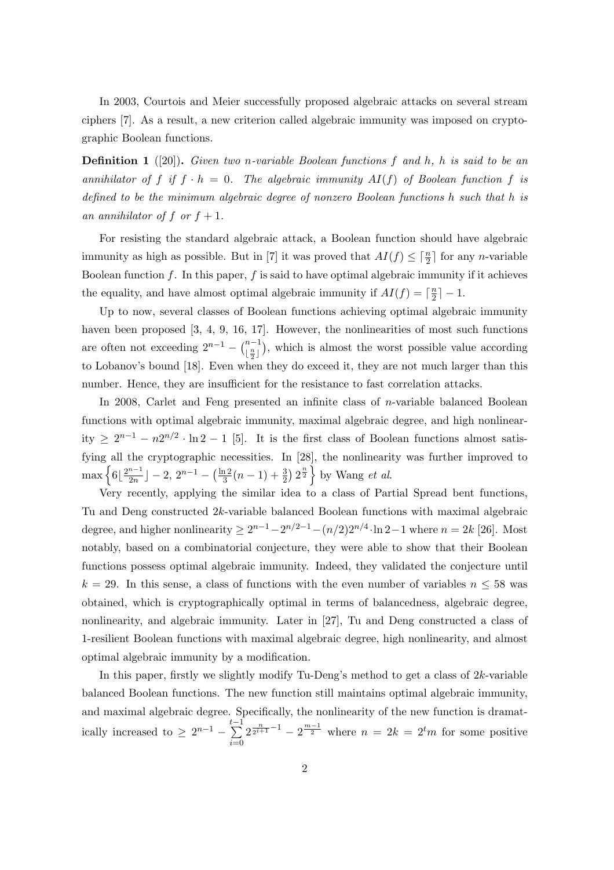In 2003, Courtois and Meier successfully proposed algebraic attacks on several stream ciphers [7]. As a result, a new criterion called algebraic immunity was imposed on cryptographic Boolean functions.

**Definition 1** ([20]). Given two n-variable Boolean functions f and h, h is said to be an annihilator of f if  $f \cdot h = 0$ . The algebraic immunity  $AI(f)$  of Boolean function f is defined to be the minimum algebraic degree of nonzero Boolean functions h such that h is an annihilator of f or  $f + 1$ .

For resisting the standard algebraic attack, a Boolean function should have algebraic immunity as high as possible. But in [7] it was proved that  $AI(f) \leq \lceil \frac{n}{2} \rceil$  for any *n*-variable Boolean function  $f$ . In this paper,  $f$  is said to have optimal algebraic immunity if it achieves the equality, and have almost optimal algebraic immunity if  $AI(f) = \lceil \frac{n}{2} \rceil$  $\frac{n}{2}$ ] – 1.

Up to now, several classes of Boolean functions achieving optimal algebraic immunity haven been proposed [3, 4, 9, 16, 17]. However, the nonlinearities of most such functions are often not exceeding  $2^{n-1} - {n-1 \choose n}$  $\lfloor \frac{n}{2} \rfloor$ ¢ , which is almost the worst possible value according to Lobanov's bound [18]. Even when they do exceed it, they are not much larger than this number. Hence, they are insufficient for the resistance to fast correlation attacks.

In 2008, Carlet and Feng presented an infinite class of n-variable balanced Boolean functions with optimal algebraic immunity, maximal algebraic degree, and high nonlinearity  $\geq 2^{n-1} - n2^{n/2} \cdot \ln 2 - 1$  [5]. It is the first class of Boolean functions almost satisfying all the cryptographic necessities. In [28], the nonlinearity was further improved to  $\max \left\{ 6 \mid \frac{2^{n-1}}{2n} \right\}$  $\frac{n-1}{2n}$ ] – 2,  $2^{n-1}$  –  $(\frac{\ln 2}{3})$  $\frac{12}{3}(n-1)+\frac{3}{2}$  $\frac{1}{\sqrt{2}}$  $2^{\frac{n}{2}}$  by Wang *et al.* 

Very recently, applying the similar idea to a class of Partial Spread bent functions, Tu and Deng constructed 2k-variable balanced Boolean functions with maximal algebraic degree, and higher nonlinearity  $\geq 2^{n-1} - 2^{n/2-1} - (n/2)2^{n/4} \cdot \ln 2 - 1$  where  $n = 2k$  [26]. Most notably, based on a combinatorial conjecture, they were able to show that their Boolean functions possess optimal algebraic immunity. Indeed, they validated the conjecture until  $k = 29$ . In this sense, a class of functions with the even number of variables  $n \leq 58$  was obtained, which is cryptographically optimal in terms of balancedness, algebraic degree, nonlinearity, and algebraic immunity. Later in [27], Tu and Deng constructed a class of 1-resilient Boolean functions with maximal algebraic degree, high nonlinearity, and almost optimal algebraic immunity by a modification.

In this paper, firstly we slightly modify Tu-Deng's method to get a class of  $2k$ -variable balanced Boolean functions. The new function still maintains optimal algebraic immunity, and maximal algebraic degree. Specifically, the nonlinearity of the new function is dramatically increased to  $\geq 2^{n-1} - \sum_{n=1}^{t-1}$  $i=0$  $2^{\frac{n}{2^{i+1}}-1} - 2^{\frac{m-1}{2}}$  where  $n = 2k = 2^tm$  for some positive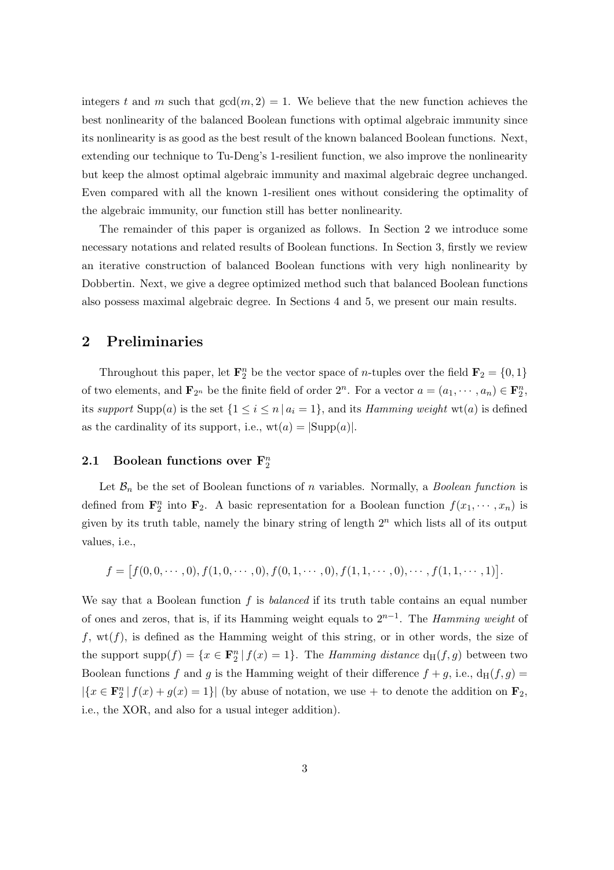integers t and m such that  $gcd(m, 2) = 1$ . We believe that the new function achieves the best nonlinearity of the balanced Boolean functions with optimal algebraic immunity since its nonlinearity is as good as the best result of the known balanced Boolean functions. Next, extending our technique to Tu-Deng's 1-resilient function, we also improve the nonlinearity but keep the almost optimal algebraic immunity and maximal algebraic degree unchanged. Even compared with all the known 1-resilient ones without considering the optimality of the algebraic immunity, our function still has better nonlinearity.

The remainder of this paper is organized as follows. In Section 2 we introduce some necessary notations and related results of Boolean functions. In Section 3, firstly we review an iterative construction of balanced Boolean functions with very high nonlinearity by Dobbertin. Next, we give a degree optimized method such that balanced Boolean functions also possess maximal algebraic degree. In Sections 4 and 5, we present our main results.

# 2 Preliminaries

Throughout this paper, let  $\mathbf{F}_2^n$  be the vector space of *n*-tuples over the field  $\mathbf{F}_2 = \{0, 1\}$ of two elements, and  $\mathbf{F}_{2^n}$  be the finite field of order  $2^n$ . For a vector  $a = (a_1, \dots, a_n) \in \mathbf{F}_2^n$ , its support Supp(a) is the set  $\{1 \le i \le n \mid a_i = 1\}$ , and its *Hamming weight* wt(a) is defined as the cardinality of its support, i.e.,  $wt(a) = |\text{Supp}(a)|$ .

# 2.1 Boolean functions over  $\mathbf{F}_{2}^{n}$

Let  $\mathcal{B}_n$  be the set of Boolean functions of n variables. Normally, a *Boolean function* is defined from  $\mathbf{F}_2^n$  into  $\mathbf{F}_2$ . A basic representation for a Boolean function  $f(x_1, \dots, x_n)$  is given by its truth table, namely the binary string of length  $2<sup>n</sup>$  which lists all of its output values, i.e.,

$$
f = [f(0, 0, \cdots, 0), f(1, 0, \cdots, 0), f(0, 1, \cdots, 0), f(1, 1, \cdots, 0), \cdots, f(1, 1, \cdots, 1)].
$$

We say that a Boolean function  $f$  is *balanced* if its truth table contains an equal number of ones and zeros, that is, if its Hamming weight equals to  $2^{n-1}$ . The Hamming weight of  $f, wt(f)$ , is defined as the Hamming weight of this string, or in other words, the size of the support supp $(f) = \{x \in \mathbf{F}_2^n | f(x) = 1\}$ . The *Hamming distance*  $d_H(f, g)$  between two Boolean functions f and g is the Hamming weight of their difference  $f + g$ , i.e.,  $d_H(f, g) =$  $|\{x \in \mathbf{F}_2^n | f(x) + g(x) = 1\}|$  (by abuse of notation, we use + to denote the addition on  $\mathbf{F}_2$ , i.e., the XOR, and also for a usual integer addition).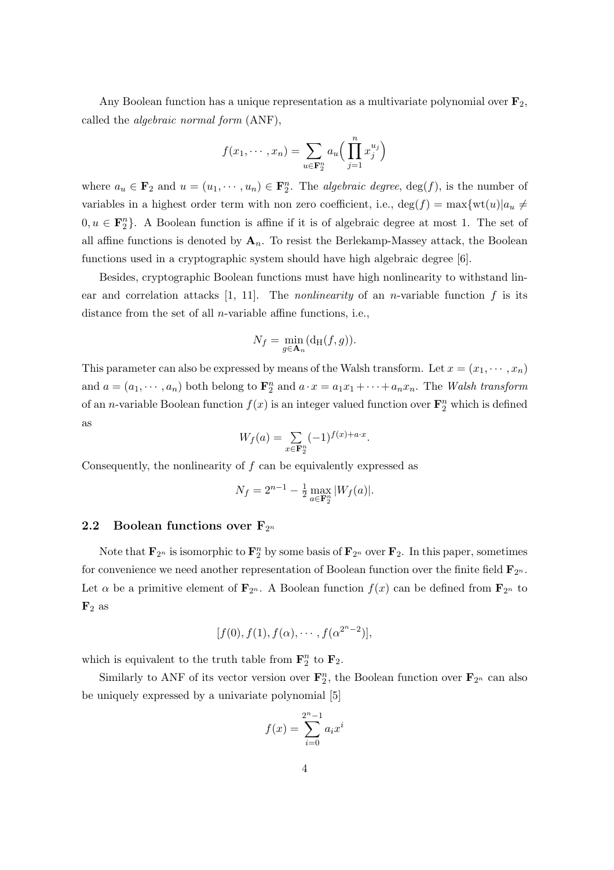Any Boolean function has a unique representation as a multivariate polynomial over  $\mathbf{F}_2$ , called the algebraic normal form (ANF),

$$
f(x_1, \dots, x_n) = \sum_{u \in \mathbf{F}_2^n} a_u \Big( \prod_{j=1}^n x_j^{u_j} \Big)
$$

where  $a_u \in \mathbf{F}_2$  and  $u = (u_1, \dots, u_n) \in \mathbf{F}_2^n$ . The *algebraic degree*,  $\deg(f)$ , is the number of variables in a highest order term with non zero coefficient, i.e.,  $\deg(f) = \max\{\text{wt}(u)|a_u \neq 0\}$  $0, u \in \mathbf{F}_2^n$ . A Boolean function is affine if it is of algebraic degree at most 1. The set of all affine functions is denoted by  $A_n$ . To resist the Berlekamp-Massey attack, the Boolean functions used in a cryptographic system should have high algebraic degree [6].

Besides, cryptographic Boolean functions must have high nonlinearity to withstand linear and correlation attacks  $[1, 11]$ . The *nonlinearity* of an *n*-variable function f is its distance from the set of all  $n$ -variable affine functions, i.e.,

$$
N_f = \min_{g \in \mathbf{A}_n} (\mathrm{d_H}(f, g)).
$$

This parameter can also be expressed by means of the Walsh transform. Let  $x = (x_1, \dots, x_n)$ and  $a = (a_1, \dots, a_n)$  both belong to  $\mathbf{F}_2^n$  and  $a \cdot x = a_1x_1 + \dots + a_nx_n$ . The Walsh transform of an *n*-variable Boolean function  $f(x)$  is an integer valued function over  $\mathbf{F}_2^n$  which is defined as

$$
W_f(a) = \sum_{x \in \mathbf{F}_2^n} (-1)^{f(x) + a \cdot x}.
$$

Consequently, the nonlinearity of  $f$  can be equivalently expressed as

$$
N_f = 2^{n-1} - \frac{1}{2} \max_{a \in \mathbf{F}_2^n} |W_f(a)|.
$$

#### 2.2 Boolean functions over  $F_{2^n}$

Note that  $\mathbf{F}_{2^n}$  is isomorphic to  $\mathbf{F}_2^n$  by some basis of  $\mathbf{F}_{2^n}$  over  $\mathbf{F}_2$ . In this paper, sometimes for convenience we need another representation of Boolean function over the finite field  $\mathbf{F}_{2^n}$ . Let  $\alpha$  be a primitive element of  $\mathbf{F}_{2^n}$ . A Boolean function  $f(x)$  can be defined from  $\mathbf{F}_{2^n}$  to  $\mathbf{F}_2$  as

$$
[f(0), f(1), f(\alpha), \cdots, f(\alpha^{2^{n}-2})],
$$

which is equivalent to the truth table from  $\mathbf{F}_2^n$  to  $\mathbf{F}_2$ .

Similarly to ANF of its vector version over  $\mathbf{F}_2^n$ , the Boolean function over  $\mathbf{F}_{2^n}$  can also be uniquely expressed by a univariate polynomial [5]

$$
f(x) = \sum_{i=0}^{2^{n}-1} a_i x^i
$$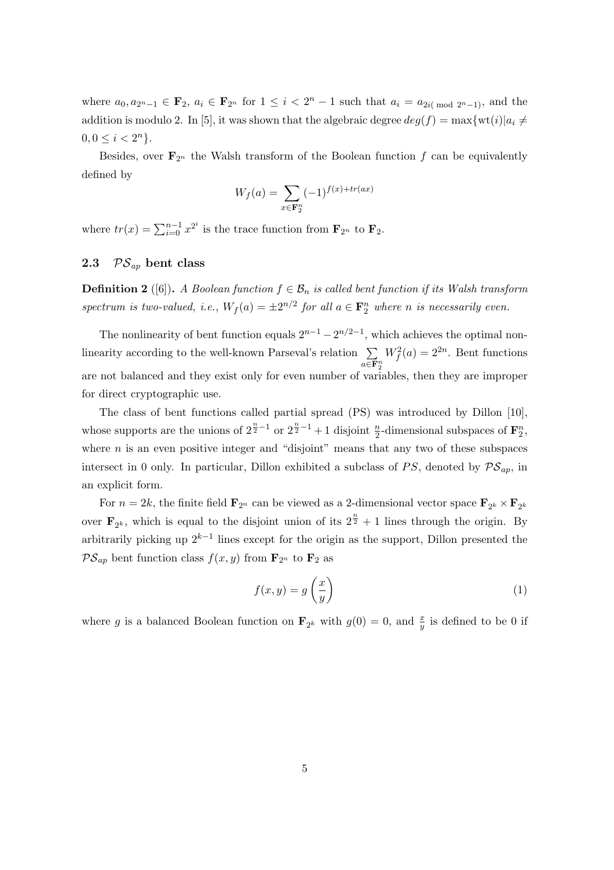where  $a_0, a_{2^n-1} \in \mathbf{F}_2$ ,  $a_i \in \mathbf{F}_{2^n}$  for  $1 \leq i < 2^n - 1$  such that  $a_i = a_{2i \pmod{2^n-1}}$ , and the addition is modulo 2. In [5], it was shown that the algebraic degree  $deg(f) = \max\{wt(i)|a_i \neq 0\}$  $0, 0 \leq i < 2^n$ .

Besides, over  $\mathbf{F}_{2^n}$  the Walsh transform of the Boolean function f can be equivalently defined by

$$
W_f(a) = \sum_{x \in \mathbf{F}_2^n} (-1)^{f(x) + tr(ax)}
$$

where  $tr(x) = \sum_{i=0}^{n-1} x^{2^i}$  is the trace function from  $\mathbf{F}_{2^n}$  to  $\mathbf{F}_2$ .

## 2.3  $PS_{ap}$  bent class

**Definition 2** ([6]). A Boolean function  $f \in \mathcal{B}_n$  is called bent function if its Walsh transform spectrum is two-valued, i.e.,  $W_f(a) = \pm 2^{n/2}$  for all  $a \in \mathbf{F}_2^n$  where n is necessarily even.

The nonlinearity of bent function equals  $2^{n-1} - 2^{n/2-1}$ , which achieves the optimal nonlinearity according to the well-known Parseval's relation  $\sum_{n=1}^{\infty}$  $a \overline{\in} \mathbf{F}_{2}^{n}$  $W_f^2(a) = 2^{2n}$ . Bent functions are not balanced and they exist only for even number of variables, then they are improper for direct cryptographic use.

The class of bent functions called partial spread (PS) was introduced by Dillon [10], whose supports are the unions of  $2^{\frac{n}{2}-1}$  or  $2^{\frac{n}{2}-1}+1$  disjoint  $\frac{n}{2}$ -dimensional subspaces of  $\mathbf{F}_2^n$ , where  $n$  is an even positive integer and "disjoint" means that any two of these subspaces intersect in 0 only. In particular, Dillon exhibited a subclass of PS, denoted by  $\mathcal{PS}_{ap}$ , in an explicit form.

For  $n = 2k$ , the finite field  $\mathbf{F}_{2^n}$  can be viewed as a 2-dimensional vector space  $\mathbf{F}_{2^k} \times \mathbf{F}_{2^k}$ over  $\mathbf{F}_{2^k}$ , which is equal to the disjoint union of its  $2^{\frac{n}{2}} + 1$  lines through the origin. By arbitrarily picking up  $2^{k-1}$  lines except for the origin as the support, Dillon presented the  $\mathcal{PS}_{ap}$  bent function class  $f(x, y)$  from  $\mathbf{F}_{2^n}$  to  $\mathbf{F}_2$  as

$$
f(x,y) = g\left(\frac{x}{y}\right) \tag{1}
$$

where g is a balanced Boolean function on  $\mathbf{F}_{2^k}$  with  $g(0) = 0$ , and  $\frac{x}{y}$  is defined to be 0 if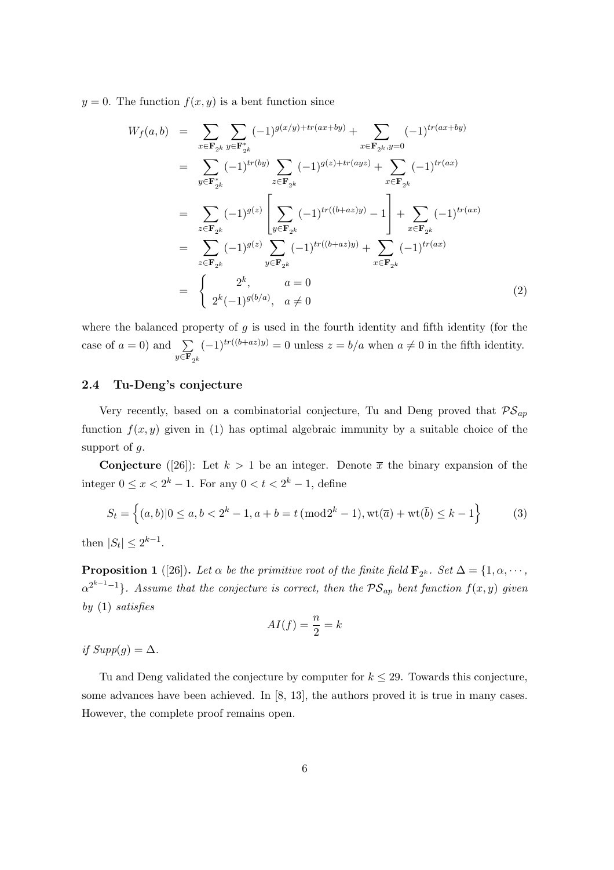$y = 0$ . The function  $f(x, y)$  is a bent function since

$$
W_f(a,b) = \sum_{x \in \mathbf{F}_{2^k}} \sum_{y \in \mathbf{F}_{2^k}^*} (-1)^{g(x/y) + tr(ax + by)} + \sum_{x \in \mathbf{F}_{2^k}, y=0} (-1)^{tr(ax + by)}
$$
  
\n
$$
= \sum_{y \in \mathbf{F}_{2^k}^*} (-1)^{tr(by)} \sum_{z \in \mathbf{F}_{2^k}} (-1)^{g(z) + tr(ayz)} + \sum_{x \in \mathbf{F}_{2^k}} (-1)^{tr(ax)}
$$
  
\n
$$
= \sum_{z \in \mathbf{F}_{2^k}} (-1)^{g(z)} \left[ \sum_{y \in \mathbf{F}_{2^k}} (-1)^{tr((b+az)y)} - 1 \right] + \sum_{x \in \mathbf{F}_{2^k}} (-1)^{tr(ax)}
$$
  
\n
$$
= \sum_{z \in \mathbf{F}_{2^k}} (-1)^{g(z)} \sum_{y \in \mathbf{F}_{2^k}} (-1)^{tr((b+az)y)} + \sum_{x \in \mathbf{F}_{2^k}} (-1)^{tr(ax)}
$$
  
\n
$$
= \begin{cases} 2^k, & a=0 \\ 2^k(-1)^{g(b/a)}, & a \neq 0 \end{cases}
$$
(2)

where the balanced property of  $g$  is used in the fourth identity and fifth identity (for the case of  $a = 0$ ) and  $\sum$  $y \in \mathbf{F}_{2^k}$  $(-1)^{tr((b+az)y)} = 0$  unless  $z = b/a$  when  $a \neq 0$  in the fifth identity.

### 2.4 Tu-Deng's conjecture

Very recently, based on a combinatorial conjecture, Tu and Deng proved that  $\mathcal{PS}_{ap}$ function  $f(x, y)$  given in (1) has optimal algebraic immunity by a suitable choice of the support of  $q$ .

**Conjecture** ([26]): Let  $k > 1$  be an integer. Denote  $\bar{x}$  the binary expansion of the integer  $0 \leq x < 2^k - 1$ . For any  $0 < t < 2^k - 1$ , define

$$
S_t = \left\{ (a, b) | 0 \le a, b < 2^k - 1, a + b = t \, (\text{mod} 2^k - 1), \text{wt}(\overline{a}) + \text{wt}(\overline{b}) \le k - 1 \right\}
$$
 (3)

then  $|S_t| \leq 2^{k-1}$ .

**Proposition 1** ([26]). Let  $\alpha$  be the primitive root of the finite field  $\mathbf{F}_{2^k}$ . Set  $\Delta = \{1, \alpha, \cdots, \alpha\}$  $\alpha^{2^{k-1}-1}\}$ . Assume that the conjecture is correct, then the  $\mathcal{PS}_{ap}$  bent function  $f(x, y)$  given by (1) satisfies

$$
AI(f) = \frac{n}{2} = k
$$

if  $Supp(q) = \Delta$ .

Tu and Deng validated the conjecture by computer for  $k \leq 29$ . Towards this conjecture, some advances have been achieved. In [8, 13], the authors proved it is true in many cases. However, the complete proof remains open.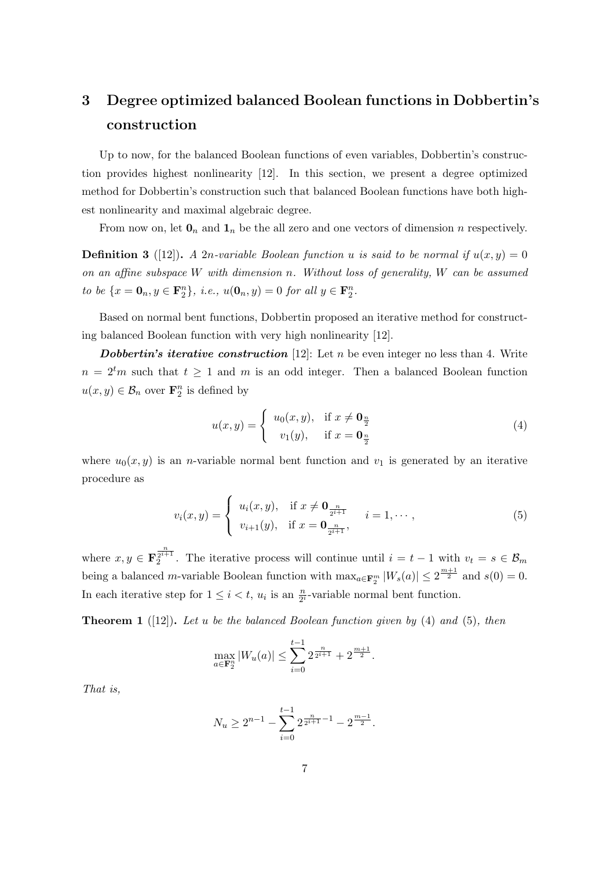# 3 Degree optimized balanced Boolean functions in Dobbertin's construction

Up to now, for the balanced Boolean functions of even variables, Dobbertin's construction provides highest nonlinearity [12]. In this section, we present a degree optimized method for Dobbertin's construction such that balanced Boolean functions have both highest nonlinearity and maximal algebraic degree.

From now on, let  $\mathbf{0}_n$  and  $\mathbf{1}_n$  be the all zero and one vectors of dimension n respectively.

**Definition 3** ([12]). A 2n-variable Boolean function u is said to be normal if  $u(x, y) = 0$ on an affine subspace W with dimension n. Without loss of generality, W can be assumed to be  $\{x = \mathbf{0}_n, y \in \mathbf{F}_2^n\}$ , i.e.,  $u(\mathbf{0}_n, y) = 0$  for all  $y \in \mathbf{F}_2^n$ .

Based on normal bent functions, Dobbertin proposed an iterative method for constructing balanced Boolean function with very high nonlinearity [12].

**Dobbertin's iterative construction** [12]: Let  $n$  be even integer no less than 4. Write  $n = 2<sup>t</sup>m$  such that  $t \ge 1$  and m is an odd integer. Then a balanced Boolean function  $u(x, y) \in \mathcal{B}_n$  over  $\mathbf{F}_2^n$  is defined by

$$
u(x,y) = \begin{cases} u_0(x,y), & \text{if } x \neq \mathbf{0}_{\frac{n}{2}} \\ v_1(y), & \text{if } x = \mathbf{0}_{\frac{n}{2}} \end{cases}
$$
 (4)

where  $u_0(x, y)$  is an *n*-variable normal bent function and  $v_1$  is generated by an iterative procedure as

$$
v_i(x, y) = \begin{cases} u_i(x, y), & \text{if } x \neq \mathbf{0}_{\frac{n}{2^{i+1}}}, & i = 1, \cdots, \\ v_{i+1}(y), & \text{if } x = \mathbf{0}_{\frac{n}{2^{i+1}}}, \end{cases}
$$
 (5)

where  $x, y \in \mathbf{F}_2^{\frac{n}{2^{i+1}}}$ . The iterative process will continue until  $i = t - 1$  with  $v_t = s \in \mathcal{B}_m$ being a balanced m-variable Boolean function with  $\max_{a \in \mathbf{F}_2^m} |W_s(a)| \leq 2^{\frac{m+1}{2}}$  and  $s(0) = 0$ . In each iterative step for  $1 \leq i < t$ ,  $u_i$  is an  $\frac{n}{2^i}$ -variable normal bent function.

**Theorem 1** ([12]). Let u be the balanced Boolean function given by (4) and (5), then

$$
\max_{a \in \mathbf{F}_2^n} |W_u(a)| \le \sum_{i=0}^{t-1} 2^{\frac{n}{2^{i+1}}} + 2^{\frac{m+1}{2}}.
$$

That is,

$$
N_u \ge 2^{n-1} - \sum_{i=0}^{t-1} 2^{\frac{n}{2^{i+1}} - 1} - 2^{\frac{m-1}{2}}.
$$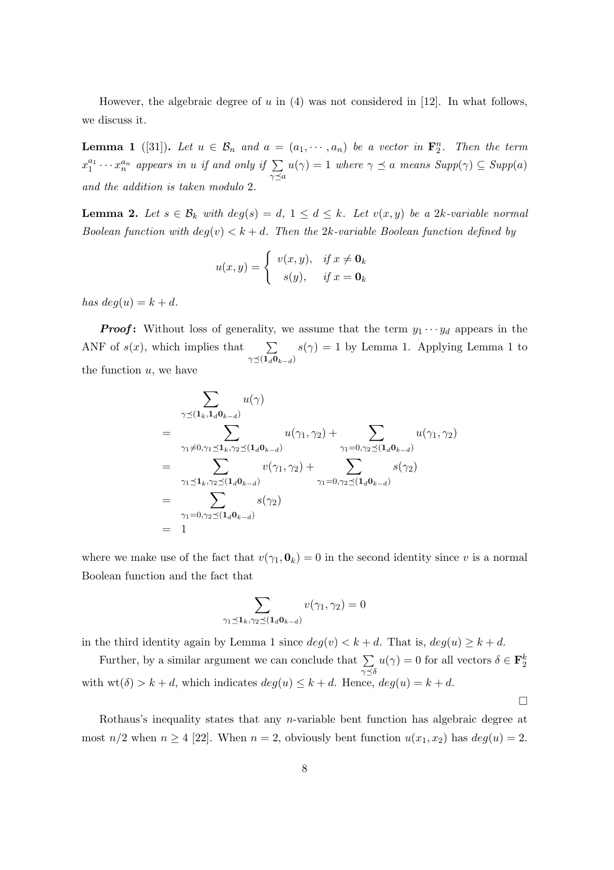However, the algebraic degree of  $u$  in  $(4)$  was not considered in [12]. In what follows, we discuss it.

**Lemma 1** ([31]). Let  $u \in \mathcal{B}_n$  and  $a = (a_1, \dots, a_n)$  be a vector in  $\mathbf{F}_2^n$ . Then the term  $x_1^{a_1} \cdots x_n^{a_n}$  appears in u if and only if  $\sum_{\gamma \preceq a}$  $u(\gamma) = 1$  where  $\gamma \preceq a$  means  $Supp(\gamma) \subseteq Supp(a)$ and the addition is taken modulo 2.

**Lemma 2.** Let  $s \in \mathcal{B}_k$  with  $deg(s) = d, 1 \leq d \leq k$ . Let  $v(x, y)$  be a 2k-variable normal Boolean function with  $deg(v) < k + d$ . Then the 2k-variable Boolean function defined by

$$
u(x,y) = \begin{cases} v(x,y), & \text{if } x \neq \mathbf{0}_k \\ s(y), & \text{if } x = \mathbf{0}_k \end{cases}
$$

has  $deg(u) = k + d$ .

**Proof:** Without loss of generality, we assume that the term  $y_1 \cdots y_d$  appears in the ANF of  $s(x)$ , which implies that  $\gamma{\preceq}(\mathbf{1}_d\mathbf{0}_{k-d})$  $s(\gamma) = 1$  by Lemma 1. Applying Lemma 1 to the function  $u$ , we have

$$
\sum_{\gamma \preceq (\mathbf{1}_k, \mathbf{1}_d \mathbf{0}_{k-d})} u(\gamma)
$$
\n
$$
= \sum_{\gamma_1 \neq 0, \gamma_1 \preceq \mathbf{1}_k, \gamma_2 \preceq (\mathbf{1}_d \mathbf{0}_{k-d})} u(\gamma_1, \gamma_2) + \sum_{\gamma_1 = 0, \gamma_2 \preceq (\mathbf{1}_d \mathbf{0}_{k-d})} u(\gamma_1, \gamma_2)
$$
\n
$$
= \sum_{\gamma_1 \preceq \mathbf{1}_k, \gamma_2 \preceq (\mathbf{1}_d \mathbf{0}_{k-d})} v(\gamma_1, \gamma_2) + \sum_{\gamma_1 = 0, \gamma_2 \preceq (\mathbf{1}_d \mathbf{0}_{k-d})} s(\gamma_2)
$$
\n
$$
= \sum_{\gamma_1 = 0, \gamma_2 \preceq (\mathbf{1}_d \mathbf{0}_{k-d})} s(\gamma_2)
$$
\n
$$
= 1
$$

where we make use of the fact that  $v(\gamma_1, \mathbf{0}_k) = 0$  in the second identity since v is a normal Boolean function and the fact that

$$
\sum_{\gamma_1 \preceq \mathbf{1}_k, \gamma_2 \preceq (\mathbf{1}_d \mathbf{0}_{k-d})} v(\gamma_1, \gamma_2) = 0
$$

in the third identity again by Lemma 1 since  $deg(v) < k + d$ . That is,  $deg(u) \geq k + d$ .

Further, by a similar argument we can conclude that  $\sum$  $\gamma{\preceq}\delta$  $u(\gamma) = 0$  for all vectors  $\delta \in \mathbf{F}_2^k$ with  $wt(\delta) > k + d$ , which indicates  $deg(u) \leq k + d$ . Hence,  $deg(u) = k + d$ .

 $\Box$ 

Rothaus's inequality states that any n-variable bent function has algebraic degree at most  $n/2$  when  $n \ge 4$  [22]. When  $n = 2$ , obviously bent function  $u(x_1, x_2)$  has  $deg(u) = 2$ .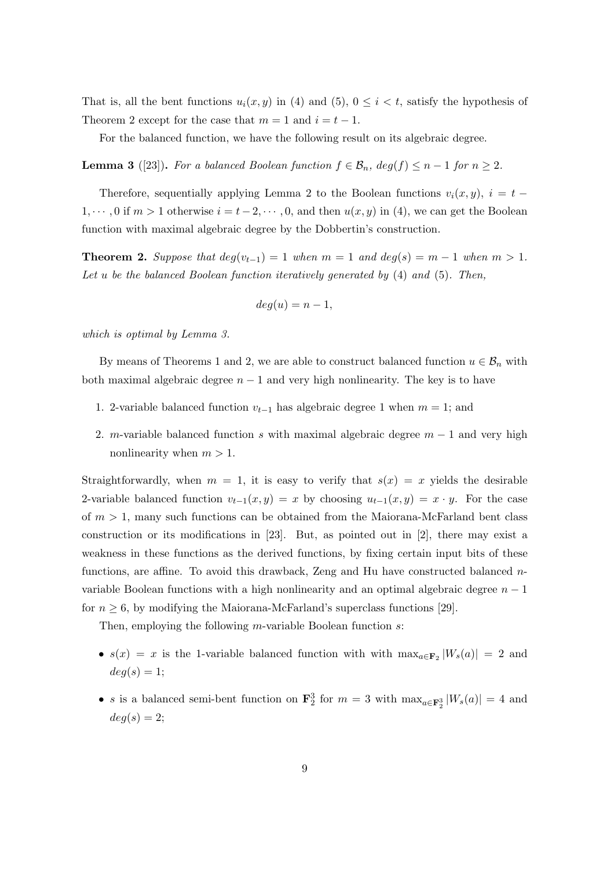That is, all the bent functions  $u_i(x, y)$  in (4) and (5),  $0 \leq i \leq t$ , satisfy the hypothesis of Theorem 2 except for the case that  $m = 1$  and  $i = t - 1$ .

For the balanced function, we have the following result on its algebraic degree.

**Lemma 3** ([23]). For a balanced Boolean function  $f \in \mathcal{B}_n$ ,  $deg(f) \leq n-1$  for  $n \geq 2$ .

Therefore, sequentially applying Lemma 2 to the Boolean functions  $v_i(x, y)$ ,  $i = t 1, \dots, 0$  if  $m > 1$  otherwise  $i = t - 2, \dots, 0$ , and then  $u(x, y)$  in (4), we can get the Boolean function with maximal algebraic degree by the Dobbertin's construction.

**Theorem 2.** Suppose that  $deg(v_{t-1}) = 1$  when  $m = 1$  and  $deg(s) = m - 1$  when  $m > 1$ . Let u be the balanced Boolean function iteratively generated by (4) and (5). Then,

$$
deg(u) = n - 1,
$$

which is optimal by Lemma 3.

By means of Theorems 1 and 2, we are able to construct balanced function  $u \in \mathcal{B}_n$  with both maximal algebraic degree  $n - 1$  and very high nonlinearity. The key is to have

- 1. 2-variable balanced function  $v_{t-1}$  has algebraic degree 1 when  $m = 1$ ; and
- 2. m-variable balanced function s with maximal algebraic degree  $m 1$  and very high nonlinearity when  $m > 1$ .

Straightforwardly, when  $m = 1$ , it is easy to verify that  $s(x) = x$  yields the desirable 2-variable balanced function  $v_{t-1}(x, y) = x$  by choosing  $u_{t-1}(x, y) = x \cdot y$ . For the case of  $m > 1$ , many such functions can be obtained from the Maiorana-McFarland bent class construction or its modifications in [23]. But, as pointed out in [2], there may exist a weakness in these functions as the derived functions, by fixing certain input bits of these functions, are affine. To avoid this drawback, Zeng and Hu have constructed balanced  $n$ variable Boolean functions with a high nonlinearity and an optimal algebraic degree  $n-1$ for  $n \geq 6$ , by modifying the Maiorana-McFarland's superclass functions [29].

Then, employing the following *m*-variable Boolean function s:

- $s(x) = x$  is the 1-variable balanced function with with  $\max_{a \in \mathbf{F}_2} |W_s(a)| = 2$  and  $deg(s) = 1;$
- *s* is a balanced semi-bent function on  $\mathbf{F}_2^3$  for  $m = 3$  with  $\max_{a \in \mathbf{F}_2^3} |W_s(a)| = 4$  and  $deg(s) = 2;$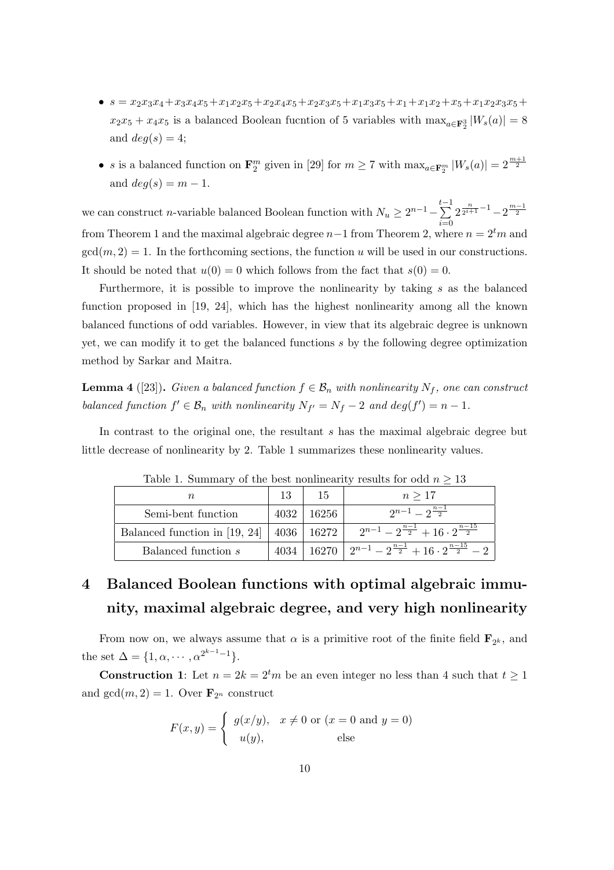- $s = x_2x_3x_4+x_3x_4x_5+x_1x_2x_5+x_2x_4x_5+x_2x_3x_5+x_1x_3x_5+x_1x_1x_2+x_5+x_1x_2x_3x_5 +$  $x_2x_5 + x_4x_5$  is a balanced Boolean fucntion of 5 variables with  $\max_{a \in \mathbf{F}_2^3} |W_s(a)| = 8$ and  $deg(s) = 4;$
- *s* is a balanced function on  $\mathbf{F}_2^m$  given in [29] for  $m \geq 7$  with  $\max_{a \in \mathbf{F}_2^m} |W_s(a)| = 2^{\frac{m+1}{2}}$ and  $deg(s) = m - 1$ .

we can construct *n*-variable balanced Boolean function with  $N_u \geq 2^{n-1} - \sum_{n=1}^{t-1}$  $i=0$  $2^{\frac{n}{2^{i+1}}-1}-2^{\frac{m-1}{2}}$ from Theorem 1 and the maximal algebraic degree  $n-1$  from Theorem 2, where  $n = 2<sup>t</sup>m$  and  $gcd(m, 2) = 1$ . In the forthcoming sections, the function u will be used in our constructions. It should be noted that  $u(0) = 0$  which follows from the fact that  $s(0) = 0$ .

Furthermore, it is possible to improve the nonlinearity by taking s as the balanced function proposed in [19, 24], which has the highest nonlinearity among all the known balanced functions of odd variables. However, in view that its algebraic degree is unknown yet, we can modify it to get the balanced functions s by the following degree optimization method by Sarkar and Maitra.

**Lemma 4** ([23]). Given a balanced function  $f \in \mathcal{B}_n$  with nonlinearity  $N_f$ , one can construct balanced function  $f' \in \mathcal{B}_n$  with nonlinearity  $N_{f'} = N_f - 2$  and  $deg(f') = n - 1$ .

In contrast to the original one, the resultant s has the maximal algebraic degree but little decrease of nonlinearity by 2. Table 1 summarizes these nonlinearity values.

|                                              | 13   | 15      | $n \geq 17$                                                                          |
|----------------------------------------------|------|---------|--------------------------------------------------------------------------------------|
| Semi-bent function                           | 4032 | - 16256 | $2^{n-1} - 2^{\frac{n-1}{2}}$                                                        |
| Balanced function in [19, 24]   4036   16272 |      |         | $2^{n-1} - 2^{\frac{n-1}{2}} + 16 \cdot 2^{\frac{n-15}{2}}$                          |
| Balanced function s                          |      |         | $4034 \mid 16270 \mid 2^{n-1} - 2^{\frac{n-1}{2}} + 16 \cdot 2^{\frac{n-15}{2}} - 2$ |

Table 1. Summary of the best nonlinearity results for odd  $n \geq 13$ 

# 4 Balanced Boolean functions with optimal algebraic immunity, maximal algebraic degree, and very high nonlinearity

From now on, we always assume that  $\alpha$  is a primitive root of the finite field  $\mathbf{F}_{2^k}$ , and the set  $\Delta = \{1, \alpha, \cdots, \alpha^{2^{k-1}-1}\}.$ 

**Construction 1:** Let  $n = 2k = 2^tm$  be an even integer no less than 4 such that  $t \ge 1$ and  $gcd(m, 2) = 1$ . Over  $\mathbf{F}_{2^n}$  construct

$$
F(x,y) = \begin{cases} g(x/y), & x \neq 0 \text{ or } (x = 0 \text{ and } y = 0) \\ u(y), & \text{else} \end{cases}
$$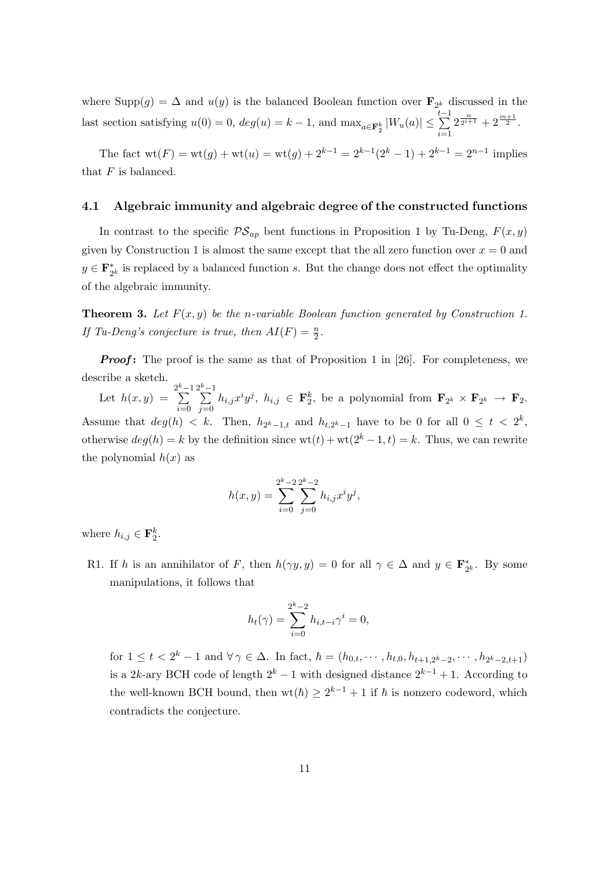where  $\text{Supp}(g) = \Delta$  and  $u(y)$  is the balanced Boolean function over  $\mathbf{F}_{2^k}$  discussed in the last section satisfying  $u(0) = 0$ ,  $deg(u) = k - 1$ , and  $\max_{a \in \mathbf{F}_2^k} |W_u(a)| \leq \sum_{i=1}^{t-1}$  $i=1$  $2^{\frac{n}{2^{i+1}}}+2^{\frac{m+1}{2}}.$ 

The fact  $wt(F) = wt(g) + wt(u) = wt(g) + 2^{k-1} = 2^{k-1}(2^k - 1) + 2^{k-1} = 2^{n-1}$  implies that  $F$  is balanced.

#### 4.1 Algebraic immunity and algebraic degree of the constructed functions

In contrast to the specific  $\mathcal{PS}_{ap}$  bent functions in Proposition 1 by Tu-Deng,  $F(x, y)$ given by Construction 1 is almost the same except that the all zero function over  $x = 0$  and  $y \in \mathbf{F}_{2}^{*}$  $_{2^k}^*$  is replaced by a balanced function s. But the change does not effect the optimality of the algebraic immunity.

**Theorem 3.** Let  $F(x, y)$  be the n-variable Boolean function generated by Construction 1. If Tu-Deng's conjecture is true, then  $AI(F) = \frac{n}{2}$ .

**Proof:** The proof is the same as that of Proposition 1 in [26]. For completeness, we describe a sketch.

Let  $h(x,y) = \sum_{k=1}^{2^k-1}$  $i=0$  $2^k-1$  $j=0$  $h_{i,j}x^iy^j, h_{i,j} \in \mathbf{F}_2^k$ , be a polynomial from  $\mathbf{F}_{2^k} \times \mathbf{F}_{2^k} \to \mathbf{F}_2$ . Assume that  $deg(h) < k$ . Then,  $h_{2^k-1,t}$  and  $h_{t,2^k-1}$  have to be 0 for all  $0 \le t < 2^k$ , otherwise  $deg(h) = k$  by the definition since  $wt(t) + wt(2^k - 1, t) = k$ . Thus, we can rewrite the polynomial  $h(x)$  as

$$
h(x,y) = \sum_{i=0}^{2^k-2} \sum_{j=0}^{2^k-2} h_{i,j} x^i y^j,
$$

where  $h_{i,j} \in \mathbf{F}_2^k$ .

R1. If h is an annihilator of F, then  $h(\gamma y, y) = 0$  for all  $\gamma \in \Delta$  and  $y \in \mathbf{F}_2^*$  $x_2^*$ . By some manipulations, it follows that

$$
h_t(\gamma) = \sum_{i=0}^{2^k - 2} h_{i, t-i} \gamma^i = 0,
$$

for  $1 \leq t < 2^k - 1$  and  $\forall \gamma \in \Delta$ . In fact,  $\hbar = (h_{0,t}, \dots, h_{t,0}, h_{t+1,2^k-2}, \dots, h_{2^k-2,t+1})$ is a 2k-ary BCH code of length  $2^k - 1$  with designed distance  $2^{k-1} + 1$ . According to the well-known BCH bound, then  $wt(h) \geq 2^{k-1} + 1$  if  $\hbar$  is nonzero codeword, which contradicts the conjecture.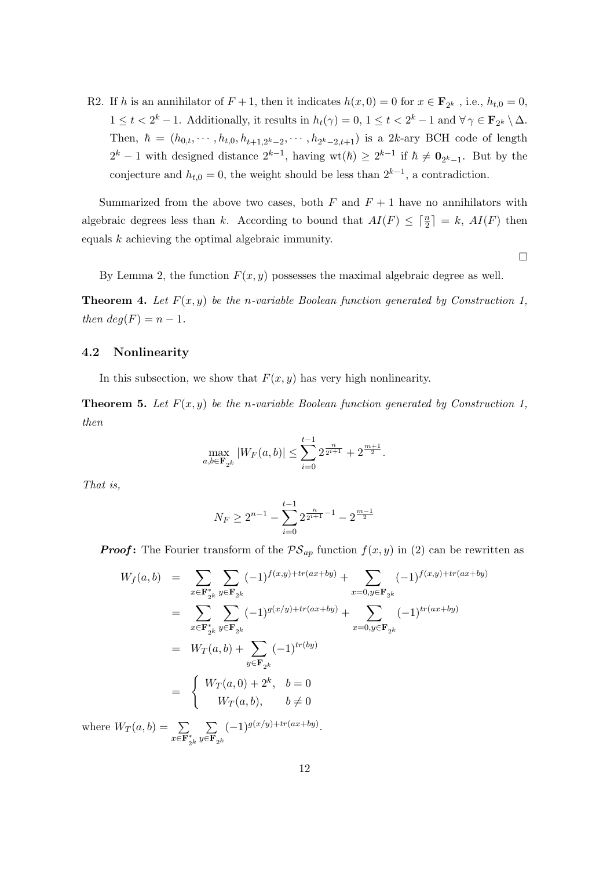R2. If h is an annihilator of  $F + 1$ , then it indicates  $h(x, 0) = 0$  for  $x \in \mathbf{F}_{2^k}$ , i.e.,  $h_{t,0} = 0$ ,  $1 \leq t < 2^k - 1$ . Additionally, it results in  $h_t(\gamma) = 0$ ,  $1 \leq t < 2^k - 1$  and  $\forall \gamma \in \mathbf{F}_{2^k} \setminus \Delta$ . Then,  $\hbar = (h_{0,t}, \dots, h_{t,0}, h_{t+1,2^k-2}, \dots, h_{2^k-2,t+1})$  is a 2k-ary BCH code of length  $2^k - 1$  with designed distance  $2^{k-1}$ , having wt( $\hbar$ )  $\geq 2^{k-1}$  if  $\hbar \neq \mathbf{0}_{2^k-1}$ . But by the conjecture and  $h_{t,0} = 0$ , the weight should be less than  $2^{k-1}$ , a contradiction.

Summarized from the above two cases, both  $F$  and  $F + 1$  have no annihilators with algebraic degrees less than k. According to bound that  $AI(F) \leq \lceil \frac{n}{2} \rceil = k$ ,  $AI(F)$  then equals  $k$  achieving the optimal algebraic immunity.

 $\Box$ 

By Lemma 2, the function  $F(x, y)$  possesses the maximal algebraic degree as well.

**Theorem 4.** Let  $F(x, y)$  be the n-variable Boolean function generated by Construction 1, then  $deg(F) = n - 1$ .

#### 4.2 Nonlinearity

In this subsection, we show that  $F(x, y)$  has very high nonlinearity.

**Theorem 5.** Let  $F(x, y)$  be the n-variable Boolean function generated by Construction 1, then

$$
\max_{a,b \in \mathbf{F}_{2^k}} |W_F(a,b)| \le \sum_{i=0}^{t-1} 2^{\frac{n}{2^{i+1}}} + 2^{\frac{m+1}{2}}.
$$

That is,

$$
N_F \ge 2^{n-1} - \sum_{i=0}^{t-1} 2^{\frac{n}{2^{i+1}} - 1} - 2^{\frac{m-1}{2}}
$$

**Proof:** The Fourier transform of the  $PS_{ap}$  function  $f(x, y)$  in (2) can be rewritten as

$$
W_f(a,b) = \sum_{x \in \mathbf{F}_{2^k}^*} \sum_{y \in \mathbf{F}_{2^k}} (-1)^{f(x,y) + tr(ax + by)} + \sum_{x=0, y \in \mathbf{F}_{2^k}} (-1)^{f(x,y) + tr(ax + by)}
$$
  
\n
$$
= \sum_{x \in \mathbf{F}_{2^k}^*} \sum_{y \in \mathbf{F}_{2^k}} (-1)^{g(x/y) + tr(ax + by)} + \sum_{x=0, y \in \mathbf{F}_{2^k}} (-1)^{tr(ax + by)}
$$
  
\n
$$
= W_T(a,b) + \sum_{y \in \mathbf{F}_{2^k}} (-1)^{tr(by)}
$$
  
\n
$$
= \begin{cases} W_T(a,0) + 2^k, & b=0\\ W_T(a,b), & b \neq 0 \end{cases}
$$
  
\n
$$
W_T(a,b) = \sum_{y \in \mathbf{F}_{2^k}} (-1)^{g(x/y) + tr(ax + by)}
$$

where  $W_T(a, b) = \sum$  $x\bar{\in} \overline{\mathbf{F}}_{2^k}^*$  $y \in \mathbf{F}_{2^k}$  $(-1)^{g(x/y)+tr(ax+by)}$ .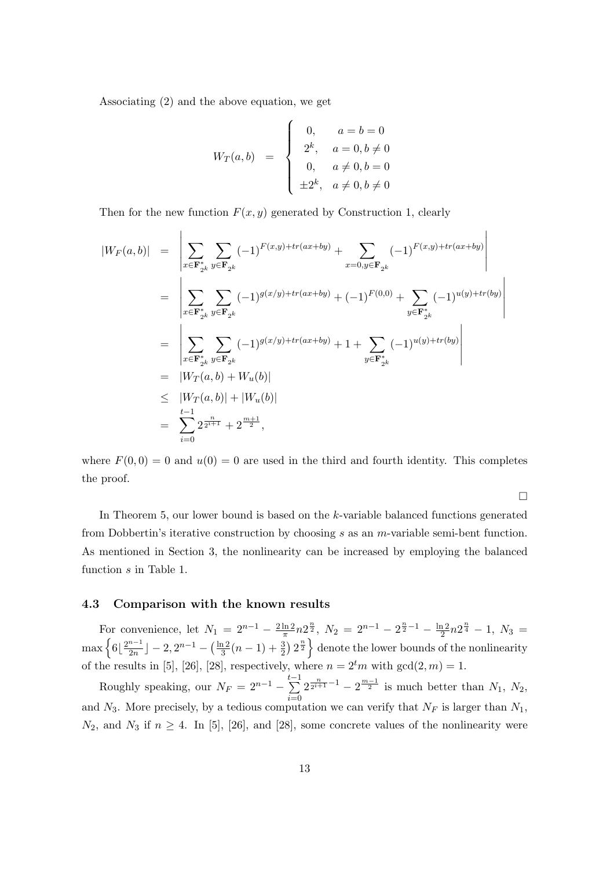Associating (2) and the above equation, we get

 $\overline{a}$ 

$$
W_T(a,b) = \begin{cases} 0, & a=b=0 \\ 2^k, & a=0, b \neq 0 \\ 0, & a \neq 0, b=0 \\ \pm 2^k, & a \neq 0, b \neq 0 \end{cases}
$$

 $\overline{a}$ 

Then for the new function  $F(x, y)$  generated by Construction 1, clearly

$$
|W_F(a,b)| = \left| \sum_{x \in \mathbf{F}_{2^k}^*} \sum_{y \in \mathbf{F}_{2^k}} (-1)^{F(x,y) + tr(ax + by)} + \sum_{x=0, y \in \mathbf{F}_{2^k}} (-1)^{F(x,y) + tr(ax + by)} \right|
$$
  
\n
$$
= \left| \sum_{x \in \mathbf{F}_{2^k}^*} \sum_{y \in \mathbf{F}_{2^k}} (-1)^{g(x/y) + tr(ax + by)} + (-1)^{F(0,0)} + \sum_{y \in \mathbf{F}_{2^k}^*} (-1)^{u(y) + tr(by)} \right|
$$
  
\n
$$
= \left| \sum_{x \in \mathbf{F}_{2^k}^*} \sum_{y \in \mathbf{F}_{2^k}} (-1)^{g(x/y) + tr(ax + by)} + 1 + \sum_{y \in \mathbf{F}_{2^k}^*} (-1)^{u(y) + tr(by)} \right|
$$
  
\n
$$
= |W_T(a,b) + W_u(b)|
$$
  
\n
$$
\leq |W_T(a,b)| + |W_u(b)|
$$
  
\n
$$
= \sum_{i=0}^{n} 2^{\frac{n}{2^{i+1}}} + 2^{\frac{m+1}{2}},
$$

where  $F(0, 0) = 0$  and  $u(0) = 0$  are used in the third and fourth identity. This completes the proof.

 $\Box$ In Theorem 5, our lower bound is based on the k-variable balanced functions generated from Dobbertin's iterative construction by choosing s as an m-variable semi-bent function. As mentioned in Section 3, the nonlinearity can be increased by employing the balanced function  $s$  in Table 1.

### 4.3 Comparison with the known results

For convenience, let  $N_1 = 2^{n-1} - \frac{2\ln 2}{\pi}$  $rac{\ln 2}{\pi} n 2^{\frac{n}{2}}, N_2 = 2^{n-1} - 2^{\frac{n}{2}-1} - \frac{\ln 2}{2}$ For convenience, let  $N_1 = 2^{n-1} - \frac{2 \ln 2}{\pi} n 2^{\frac{n}{2}}$ ,  $N_2 = 2^{n-1} - 2^{\frac{n}{2}-1} - \frac{\ln 2}{2} n 2^{\frac{n}{4}} - 1$ ,  $N_3 = \max \left\{ 6 \mid \frac{2^{n-1}}{2^n} \mid -2, 2^{n-1} - \left( \frac{\ln 2}{3} (n-1) + \frac{3}{2} \right) 2^{\frac{n}{2}} \right\}$  denote the lower bounds of t  $\frac{n-1}{2n}$ ] – 2, 2<sup>n-1</sup> –  $(\frac{\ln 2}{3})$  $\frac{12}{3}(n-1)+\frac{3}{2}$ ¢  $2^{\frac{n}{2}}$  $\frac{1}{2}$ denote the lower bounds of the nonlinearity of the results in [5], [26], [28], respectively, where  $n = 2<sup>t</sup>m$  with  $gcd(2, m) = 1$ .

Roughly speaking, our  $N_F = 2^{n-1} - \sum_{i=1}^{t-1}$  $i=0$  $2^{\frac{n}{2^{i+1}}-1} - 2^{\frac{m-1}{2}}$  is much better than  $N_1, N_2,$ and  $N_3$ . More precisely, by a tedious computation we can verify that  $N_F$  is larger than  $N_1$ ,  $N_2$ , and  $N_3$  if  $n \geq 4$ . In [5], [26], and [28], some concrete values of the nonlinearity were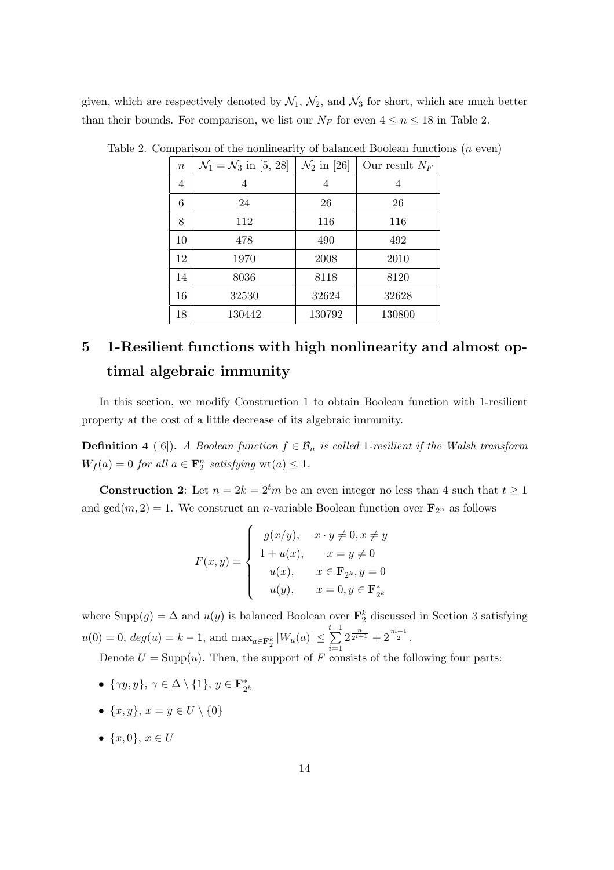given, which are respectively denoted by  $\mathcal{N}_1$ ,  $\mathcal{N}_2$ , and  $\mathcal{N}_3$  for short, which are much better than their bounds. For comparison, we list our  $N_F$  for even  $4 \le n \le 18$  in Table 2.

| $\, n$ | $\mathcal{N}_1 = \mathcal{N}_3$ in [5, 28] | $\mathcal{N}_2$ in [26] | Our result $N_F$ |
|--------|--------------------------------------------|-------------------------|------------------|
| 4      | 4                                          | 4                       | 4                |
| 6      | 24                                         | 26                      | 26               |
| 8      | 112                                        | 116                     | 116              |
| 10     | 478                                        | 490                     | 492              |
| 12     | 1970                                       | 2008                    | 2010             |
| 14     | 8036                                       | 8118                    | 8120             |
| 16     | 32530                                      | 32624                   | 32628            |
| 18     | 130442                                     | 130792                  | 130800           |

Table 2. Comparison of the nonlinearity of balanced Boolean functions (n even)

# 5 1-Resilient functions with high nonlinearity and almost optimal algebraic immunity

In this section, we modify Construction 1 to obtain Boolean function with 1-resilient property at the cost of a little decrease of its algebraic immunity.

**Definition 4** ([6]). A Boolean function  $f \in \mathcal{B}_n$  is called 1-resilient if the Walsh transform  $W_f(a) = 0$  for all  $a \in \mathbf{F}_2^n$  satisfying  $\text{wt}(a) \leq 1$ .

**Construction 2**: Let  $n = 2k = 2^tm$  be an even integer no less than 4 such that  $t \ge 1$ and  $gcd(m, 2) = 1$ . We construct an *n*-variable Boolean function over  $\mathbf{F}_{2^n}$  as follows

$$
F(x,y) = \begin{cases} g(x/y), & x \cdot y \neq 0, x \neq y \\ 1 + u(x), & x = y \neq 0 \\ u(x), & x \in \mathbf{F}_{2^k}, y = 0 \\ u(y), & x = 0, y \in \mathbf{F}_{2^k}^* \end{cases}
$$

where  $\text{Supp}(g) = \Delta$  and  $u(y)$  is balanced Boolean over  $\mathbf{F}_2^k$  discussed in Section 3 satisfying  $u(0) = 0, deg(u) = k - 1, \text{ and } \max_{a \in \mathbf{F}_2^k} |W_u(a)| \leq \sum_{i=1}^{t-1}$  $i=1$  $2^{\frac{n}{2^{i+1}}}+2^{\frac{m+1}{2}}.$ 

Denote  $U = \text{Supp}(u)$ . Then, the support of F consists of the following four parts:

- $\{\gamma y, y\}, \gamma \in \Delta \setminus \{1\}, y \in \mathbf{F}_{2}^{*}$  $2^k$
- $\{x, y\}, x = y \in \overline{U} \setminus \{0\}$
- $\{x, 0\}, x \in U$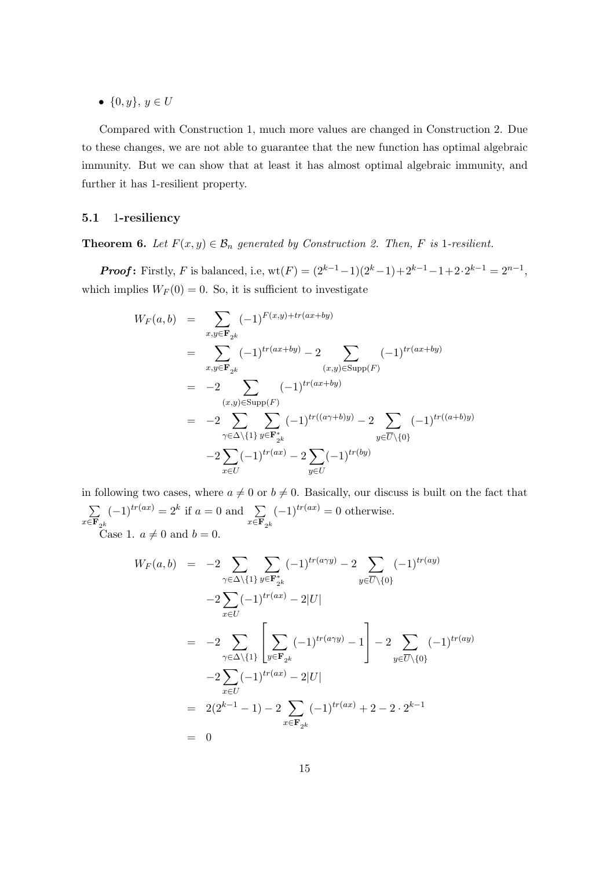•  $\{0, y\}, y \in U$ 

Compared with Construction 1, much more values are changed in Construction 2. Due to these changes, we are not able to guarantee that the new function has optimal algebraic immunity. But we can show that at least it has almost optimal algebraic immunity, and further it has 1-resilient property.

### 5.1 1-resiliency

**Theorem 6.** Let  $F(x, y) \in \mathcal{B}_n$  generated by Construction 2. Then, F is 1-resilient.

**Proof:** Firstly, F is balanced, i.e,  $wt(F) = (2^{k-1}-1)(2^k-1)+2^{k-1}-1+2 \cdot 2^{k-1} = 2^{n-1}$ , which implies  $W_F(0) = 0$ . So, it is sufficient to investigate

$$
W_F(a,b) = \sum_{x,y \in \mathbf{F}_{2^k}} (-1)^{F(x,y) + tr(ax+by)}
$$
  
\n
$$
= \sum_{x,y \in \mathbf{F}_{2^k}} (-1)^{tr(ax+by)} - 2 \sum_{(x,y) \in \text{Supp}(F)} (-1)^{tr(ax+by)}
$$
  
\n
$$
= -2 \sum_{(x,y) \in \text{Supp}(F)} (-1)^{tr(ax+by)}
$$
  
\n
$$
= -2 \sum_{\gamma \in \Delta \setminus \{1\}} \sum_{y \in \mathbf{F}_{2^k}^*} (-1)^{tr((a\gamma+b)y)} - 2 \sum_{y \in \overline{U} \setminus \{0\}} (-1)^{tr((a+b)y)}
$$
  
\n
$$
-2 \sum_{x \in U} (-1)^{tr(ax)} - 2 \sum_{y \in U} (-1)^{tr(by)}
$$

in following two cases, where  $a \neq 0$  or  $b \neq 0$ . Basically, our discuss is built on the fact that  $\overline{ }$  $x \in \mathbf{F}_{2^k}$  $(-1)^{tr(ax)} = 2^k$  if  $a = 0$  and  $\sum$  $x \in \mathbf{F}_{2^k}$  $(-1)^{tr(ax)} = 0$  otherwise. Case 1.  $a \neq 0$  and  $b = 0$ .

$$
W_F(a,b) = -2 \sum_{\gamma \in \Delta \setminus \{1\}} \sum_{y \in \mathbf{F}_{2^k}^*} (-1)^{tr(a\gamma y)} - 2 \sum_{y \in \overline{U} \setminus \{0\}} (-1)^{tr(ay)} -2 \sum_{x \in U} (-1)^{tr(ax)} - 2|U| = -2 \sum_{\gamma \in \Delta \setminus \{1\}} \left[ \sum_{y \in \mathbf{F}_{2^k}} (-1)^{tr(a\gamma y)} - 1 \right] - 2 \sum_{y \in \overline{U} \setminus \{0\}} (-1)^{tr(ay)} -2 \sum_{x \in U} (-1)^{tr(ax)} - 2|U| = 2(2^{k-1} - 1) - 2 \sum_{x \in \mathbf{F}_{2^k}} (-1)^{tr(ax)} + 2 - 2 \cdot 2^{k-1} = 0
$$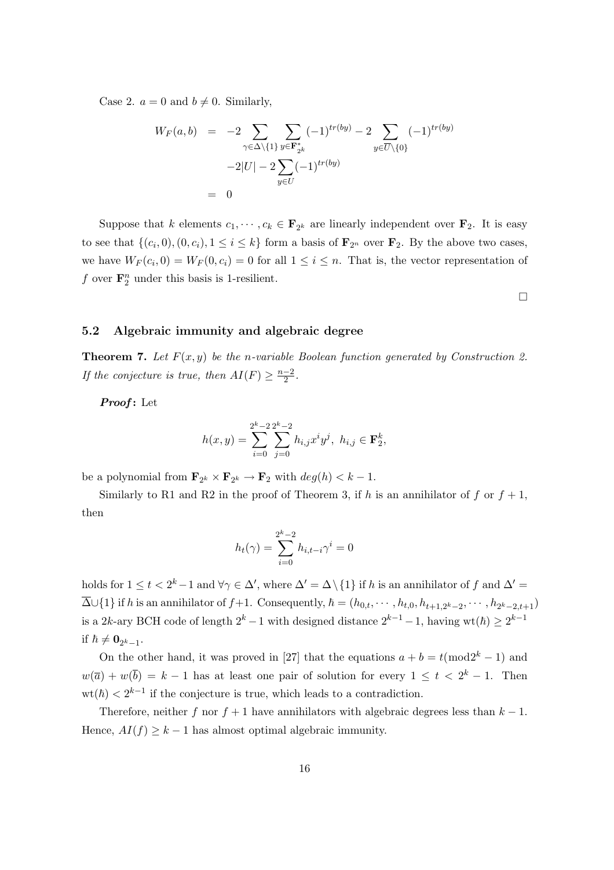Case 2.  $a = 0$  and  $b \neq 0$ . Similarly,

$$
W_F(a, b) = -2 \sum_{\gamma \in \Delta \setminus \{1\}} \sum_{y \in \mathbf{F}_{2^k}^*} (-1)^{tr(by)} - 2 \sum_{y \in \overline{U} \setminus \{0\}} (-1)^{tr(by)} -2|U| - 2 \sum_{y \in U} (-1)^{tr(by)} = 0
$$

Suppose that k elements  $c_1, \dots, c_k \in \mathbf{F}_{2^k}$  are linearly independent over  $\mathbf{F}_2$ . It is easy to see that  $\{(c_i, 0), (0, c_i), 1 \leq i \leq k\}$  form a basis of  $\mathbf{F}_{2^n}$  over  $\mathbf{F}_2$ . By the above two cases, we have  $W_F(c_i, 0) = W_F(0, c_i) = 0$  for all  $1 \leq i \leq n$ . That is, the vector representation of f over  $\mathbf{F}_2^n$  under this basis is 1-resilient.

¤

#### 5.2 Algebraic immunity and algebraic degree

**Theorem 7.** Let  $F(x, y)$  be the n-variable Boolean function generated by Construction 2. If the conjecture is true, then  $AI(F) \geq \frac{n-2}{2}$  $\frac{-2}{2}$ .

Proof: Let

$$
h(x,y) = \sum_{i=0}^{2^k-2} \sum_{j=0}^{2^k-2} h_{i,j} x^i y^j, \ h_{i,j} \in \mathbf{F}_2^k,
$$

be a polynomial from  $\mathbf{F}_{2^k} \times \mathbf{F}_{2^k} \to \mathbf{F}_2$  with  $deg(h) < k - 1$ .

Similarly to R1 and R2 in the proof of Theorem 3, if h is an annihilator of f or  $f + 1$ , then

$$
h_t(\gamma) = \sum_{i=0}^{2^k - 2} h_{i, t-i} \gamma^i = 0
$$

holds for  $1 \leq t < 2^k-1$  and  $\forall \gamma \in \Delta'$ , where  $\Delta' = \Delta \setminus \{1\}$  if h is an annihilator of f and  $\Delta' =$  $\overline{\Delta} \cup \{1\}$  if h is an annihilator of  $f+1$ . Consequently,  $\hbar = (h_{0,t}, \dots, h_{t,0}, h_{t+1,2^k-2}, \dots, h_{2^k-2,t+1})$ is a 2k-ary BCH code of length  $2^k - 1$  with designed distance  $2^{k-1} - 1$ , having wt $(\hbar) \geq 2^{k-1}$ if  $\hbar \neq \mathbf{0}_{2^k-1}$ .

On the other hand, it was proved in [27] that the equations  $a + b = t \pmod{2^k - 1}$  and  $w(\overline{a}) + w(\overline{b}) = k - 1$  has at least one pair of solution for every  $1 \leq t < 2^{k} - 1$ . Then  $\text{wt}(\hbar) < 2^{k-1}$  if the conjecture is true, which leads to a contradiction.

Therefore, neither f nor  $f + 1$  have annihilators with algebraic degrees less than  $k - 1$ . Hence,  $AI(f) \geq k-1$  has almost optimal algebraic immunity.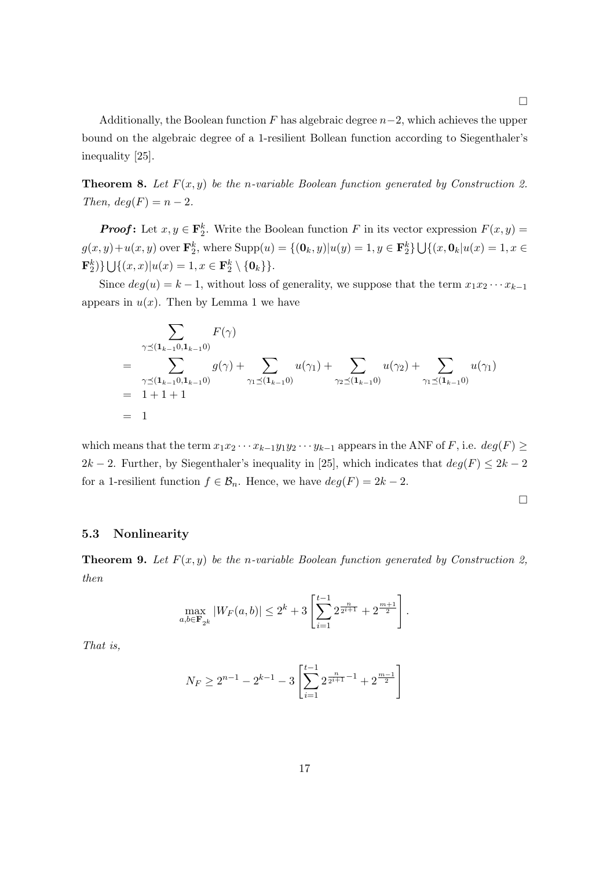Additionally, the Boolean function F has algebraic degree  $n-2$ , which achieves the upper bound on the algebraic degree of a 1-resilient Bollean function according to Siegenthaler's inequality [25].

**Theorem 8.** Let  $F(x, y)$  be the n-variable Boolean function generated by Construction 2. Then,  $deg(F) = n - 2$ .

**Proof:** Let  $x, y \in \mathbf{F}_2^k$ . Write the Boolean function F in its vector expression  $F(x, y) =$  $g(x, y) + u(x, y)$  over  $\mathbf{F}_2^k$ , where  $\text{Supp}(u) = \{(\mathbf{0}_k, y) | u(y) = 1, y \in \mathbf{F}_2^k\}$ S  $\{(x, \mathbf{0}_k | u(x) = 1, x \in$  $\mathbf{F}_2^k)\}$  $\frac{3}{2}$  $\{(x, x)|u(x) = 1, x \in \mathbf{F}_2^k \setminus \{\mathbf{0}_k\}\}.$ 

Since  $deg(u) = k - 1$ , without loss of generality, we suppose that the term  $x_1x_2 \cdots x_{k-1}$ appears in  $u(x)$ . Then by Lemma 1 we have

$$
\sum_{\gamma \preceq (\mathbf{1}_{k-1} 0, \mathbf{1}_{k-1} 0)} F(\gamma)
$$
\n
$$
= \sum_{\gamma \preceq (\mathbf{1}_{k-1} 0, \mathbf{1}_{k-1} 0)} g(\gamma) + \sum_{\gamma_1 \preceq (\mathbf{1}_{k-1} 0)} u(\gamma_1) + \sum_{\gamma_2 \preceq (\mathbf{1}_{k-1} 0)} u(\gamma_2) + \sum_{\gamma_1 \preceq (\mathbf{1}_{k-1} 0)} u(\gamma_1)
$$
\n
$$
= 1 + 1 + 1
$$
\n
$$
= 1
$$

which means that the term  $x_1x_2 \cdots x_{k-1}y_1y_2 \cdots y_{k-1}$  appears in the ANF of F, i.e.  $deg(F) \ge$ 2k − 2. Further, by Siegenthaler's inequality in [25], which indicates that  $deg(F) \leq 2k - 2$ for a 1-resilient function  $f \in \mathcal{B}_n$ . Hence, we have  $deg(F) = 2k - 2$ .

$$
\qquad \qquad \Box
$$

### 5.3 Nonlinearity

**Theorem 9.** Let  $F(x, y)$  be the n-variable Boolean function generated by Construction 2, then

$$
\max_{a,b \in \mathbf{F}_{2^k}} |W_F(a,b)| \le 2^k + 3 \left[ \sum_{i=1}^{t-1} 2^{\frac{n}{2^{i+1}}} + 2^{\frac{m+1}{2}} \right].
$$

That is,

$$
N_F \ge 2^{n-1} - 2^{k-1} - 3 \left[ \sum_{i=1}^{t-1} 2^{\frac{n}{2^{i+1}} - 1} + 2^{\frac{m-1}{2}} \right]
$$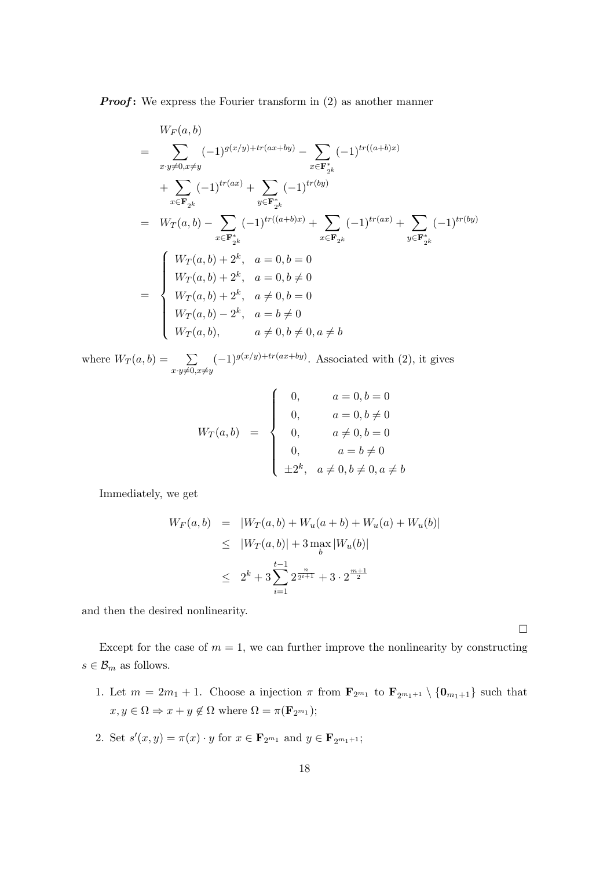**Proof:** We express the Fourier transform in  $(2)$  as another manner

$$
W_F(a, b)
$$
  
= 
$$
\sum_{x:y \neq 0, x \neq y} (-1)^{g(x/y) + tr(ax + by)} - \sum_{x \in \mathbf{F}_{2^k}^*} (-1)^{tr((a+b)x)}
$$
  
+ 
$$
\sum_{x \in \mathbf{F}_{2^k}} (-1)^{tr(ax)} + \sum_{y \in \mathbf{F}_{2^k}^*} (-1)^{tr(by)}
$$
  
= 
$$
W_T(a, b) - \sum_{x \in \mathbf{F}_{2^k}^*} (-1)^{tr((a+b)x)} + \sum_{x \in \mathbf{F}_{2^k}} (-1)^{tr(ax)} + \sum_{y \in \mathbf{F}_{2^k}^*} (-1)^{tr(by)}
$$
  
= 
$$
\begin{cases} W_T(a, b) + 2^k, & a = 0, b = 0 \\ W_T(a, b) + 2^k, & a = 0, b \neq 0 \\ W_T(a, b) - 2^k, & a \neq 0, b = 0 \\ W_T(a, b), & a \neq 0, b \neq 0, a \neq b \end{cases}
$$

where  $W_T(a, b) = \sum$  $x \cdot y \neq 0, x \neq y$  $(-1)^{g(x/y) + tr(ax + by)}$ . Associated with (2), it gives

$$
W_T(a,b) = \begin{cases} 0, & a = 0, b = 0 \\ 0, & a = 0, b \neq 0 \\ 0, & a \neq 0, b = 0 \\ 0, & a = b \neq 0 \\ \pm 2^k, & a \neq 0, b \neq 0, a \neq b \end{cases}
$$

Immediately, we get

$$
W_F(a, b) = |W_T(a, b) + W_u(a + b) + W_u(a) + W_u(b)|
$$
  
\n
$$
\leq |W_T(a, b)| + 3 \max_b |W_u(b)|
$$
  
\n
$$
\leq 2^k + 3 \sum_{i=1}^{t-1} 2^{\frac{n}{2^{i+1}}} + 3 \cdot 2^{\frac{m+1}{2}}
$$

and then the desired nonlinearity.

 $\Box$ 

Except for the case of  $m = 1$ , we can further improve the nonlinearity by constructing  $s \in \mathcal{B}_m$  as follows.

- 1. Let  $m = 2m_1 + 1$ . Choose a injection  $\pi$  from  $\mathbf{F}_{2^{m_1}}$  to  $\mathbf{F}_{2^{m_1+1}} \setminus {\mathbf{0}}_{m_1+1}$  such that  $x, y \in \Omega \Rightarrow x + y \notin \Omega$  where  $\Omega = \pi(\mathbf{F}_{2^{m_1}});$
- 2. Set  $s'(x, y) = \pi(x) \cdot y$  for  $x \in \mathbf{F}_{2^{m_1}}$  and  $y \in \mathbf{F}_{2^{m_1+1}}$ ;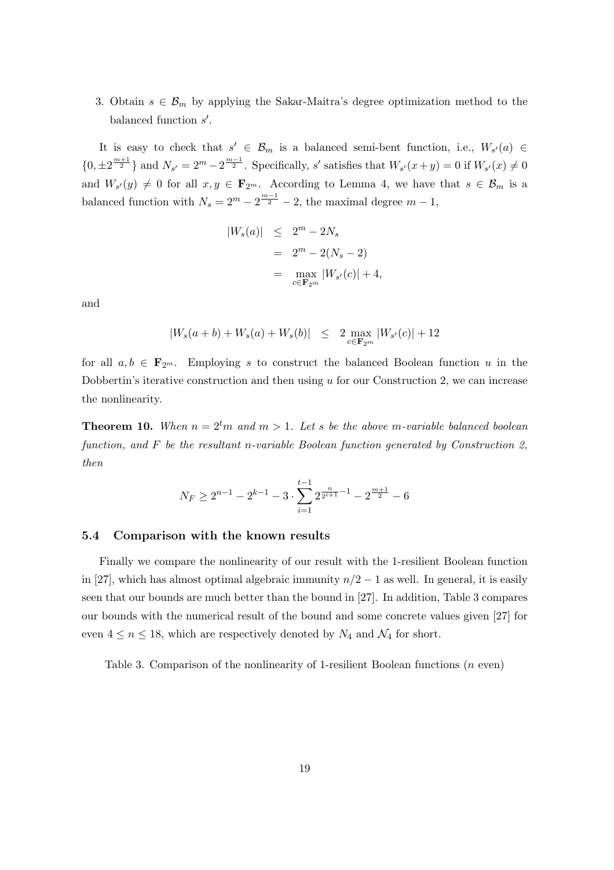3. Obtain  $s \in \mathcal{B}_m$  by applying the Sakar-Maitra's degree optimization method to the balanced function  $s'$ .

It is easy to check that  $s' \in \mathcal{B}_m$  is a balanced semi-bent function, i.e.,  $W_{s'}(a) \in$  $\{0, \pm 2^{\frac{m+1}{2}}\}$  and  $N_{s'} = 2^m - 2^{\frac{m-1}{2}}$ . Specifically, s' satisfies that  $W_{s'}(x+y) = 0$  if  $W_{s'}(x) \neq 0$ and  $W_{s'}(y) \neq 0$  for all  $x, y \in \mathbf{F}_{2^m}$ . According to Lemma 4, we have that  $s \in \mathcal{B}_m$  is a balanced function with  $N_s = 2^m - 2^{\frac{m-1}{2}} - 2$ , the maximal degree  $m-1$ ,

$$
|W_s(a)| \leq 2^m - 2N_s
$$
  
=  $2^m - 2(N_s - 2)$   
=  $\max_{c \in \mathbf{F}_{2^m}} |W_{s'}(c)| + 4$ ,

and

$$
|W_s(a+b) + W_s(a) + W_s(b)| \leq 2 \max_{c \in \mathbf{F}_{2^m}} |W_{s'}(c)| + 12
$$

for all  $a, b \in \mathbf{F}_{2^m}$ . Employing s to construct the balanced Boolean function u in the Dobbertin's iterative construction and then using  $u$  for our Construction 2, we can increase the nonlinearity.

**Theorem 10.** When  $n = 2<sup>t</sup>m$  and  $m > 1$ . Let s be the above m-variable balanced boolean function, and F be the resultant n-variable Boolean function generated by Construction 2, then

$$
N_F \ge 2^{n-1} - 2^{k-1} - 3 \cdot \sum_{i=1}^{t-1} 2^{\frac{n}{2^{i+1}} - 1} - 2^{\frac{m+1}{2}} - 6
$$

#### 5.4 Comparison with the known results

Finally we compare the nonlinearity of our result with the 1-resilient Boolean function in [27], which has almost optimal algebraic immunity  $n/2 - 1$  as well. In general, it is easily seen that our bounds are much better than the bound in [27]. In addition, Table 3 compares our bounds with the numerical result of the bound and some concrete values given [27] for even  $4 \leq n \leq 18$ , which are respectively denoted by  $N_4$  and  $\mathcal{N}_4$  for short.

Table 3. Comparison of the nonlinearity of 1-resilient Boolean functions (n even)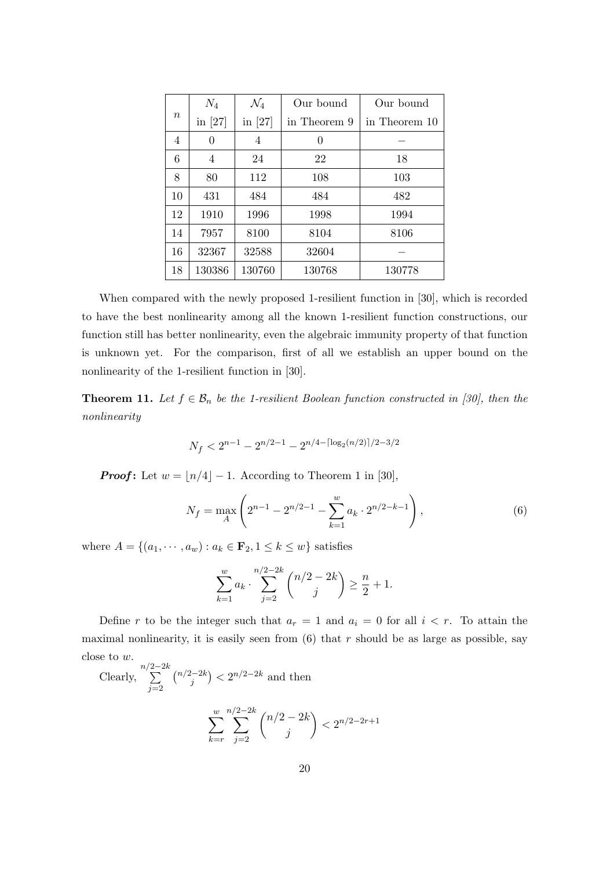|                  | $N_4$          | $\mathcal{N}_4$ | Our bound    | Our bound     |
|------------------|----------------|-----------------|--------------|---------------|
| $\boldsymbol{n}$ | in $[27]$      | in $[27]$       | in Theorem 9 | in Theorem 10 |
| 4                | $\overline{0}$ | 4               | 0            |               |
| 6                | 4              | 24              | 22           | 18            |
| 8                | 80             | 112             | 108          | 103           |
| 10               | 431            | 484             | 484          | 482           |
| 12               | 1910           | 1996            | 1998         | 1994          |
| 14               | 7957           | 8100            | 8104         | 8106          |
| 16               | 32367          | 32588           | 32604        |               |
| 18               | 130386         | 130760          | 130768       | 130778        |

When compared with the newly proposed 1-resilient function in [30], which is recorded to have the best nonlinearity among all the known 1-resilient function constructions, our function still has better nonlinearity, even the algebraic immunity property of that function is unknown yet. For the comparison, first of all we establish an upper bound on the nonlinearity of the 1-resilient function in [30].

**Theorem 11.** Let  $f \in \mathcal{B}_n$  be the 1-resilient Boolean function constructed in [30], then the nonlinearity

$$
N_f < 2^{n-1} - 2^{n/2 - 1} - 2^{n/4 - \lceil \log_2(n/2) \rceil / 2 - 3/2}
$$

**Proof:** Let  $w = \lfloor n/4 \rfloor - 1$ . According to Theorem 1 in [30],

$$
N_f = \max_{A} \left( 2^{n-1} - 2^{n/2 - 1} - \sum_{k=1}^{w} a_k \cdot 2^{n/2 - k - 1} \right),\tag{6}
$$

where  $A = \{(a_1, \dots, a_w) : a_k \in \mathbf{F}_2, 1 \le k \le w\}$  satisfies

$$
\sum_{k=1}^{w} a_k \cdot \sum_{j=2}^{n/2-2k} \binom{n/2-2k}{j} \ge \frac{n}{2} + 1.
$$

Define r to be the integer such that  $a_r = 1$  and  $a_i = 0$  for all  $i < r$ . To attain the maximal nonlinearity, it is easily seen from  $(6)$  that r should be as large as possible, say close to w.

Clearly, 
$$
\sum_{j=2}^{n/2-2k} {\binom{n/2-2k}{j}} < 2^{n/2-2k}
$$
 and then  

$$
\sum_{k=r}^{w} \sum_{j=2}^{n/2-2k} {\binom{n/2-2k}{j}} < 2^{n/2-2r+1}
$$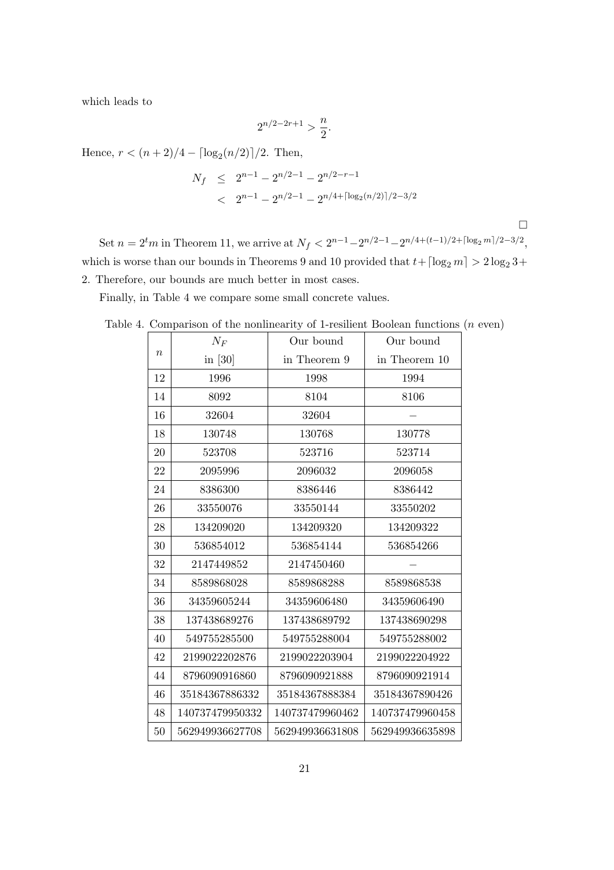which leads to

$$
2^{n/2 - 2r + 1} > \frac{n}{2}.
$$

Hence,  $r < (n+2)/4 - \lceil \log_2(n/2) \rceil / 2$ . Then,

$$
N_f \le 2^{n-1} - 2^{n/2 - 1} - 2^{n/2 - r - 1}
$$
  
< 
$$
< 2^{n-1} - 2^{n/2 - 1} - 2^{n/4 + \lceil \log_2(n/2) \rceil / 2 - 3/2}
$$

Set  $n = 2^tm$  in Theorem 11, we arrive at  $N_f < 2^{n-1} - 2^{n/2-1} - 2^{n/4 + (t-1)/2 + \lceil \log_2 m \rceil / 2 - 3/2}$ , which is worse than our bounds in Theorems 9 and 10 provided that  $t+ \lceil \log_2 m \rceil > 2 \log_2 3+1$ 2. Therefore, our bounds are much better in most cases.

 $\Box$ 

Finally, in Table 4 we compare some small concrete values.

|  | Table 4. Comparison of the nonlinearity of 1-resilient Boolean functions $(n$ even) |  |  |  |  |  |  |  |  |
|--|-------------------------------------------------------------------------------------|--|--|--|--|--|--|--|--|
|--|-------------------------------------------------------------------------------------|--|--|--|--|--|--|--|--|

|                  | $N_F$           | Our bound       | Our bound       |
|------------------|-----------------|-----------------|-----------------|
| $\boldsymbol{n}$ | in $[30]$       | in Theorem 9    | in Theorem 10   |
| 12               | 1996            | 1998            | 1994            |
| 14               | 8092            | 8104            | 8106            |
| 16               | 32604           | 32604           |                 |
| 18               | 130748          | 130768          | 130778          |
| 20               | 523708          | 523716          | 523714          |
| 22               | 2095996         | 2096032         | 2096058         |
| 24               | 8386300         | 8386446         | 8386442         |
| 26               | 33550076        | 33550144        | 33550202        |
| 28               | 134209020       | 134209320       | 134209322       |
| 30               | 536854012       | 536854144       | 536854266       |
| 32               | 2147449852      | 2147450460      |                 |
| 34               | 8589868028      | 8589868288      | 8589868538      |
| 36               | 34359605244     | 34359606480     | 34359606490     |
| 38               | 137438689276    | 137438689792    | 137438690298    |
| 40               | 549755285500    | 549755288004    | 549755288002    |
| 42               | 2199022202876   | 2199022203904   | 2199022204922   |
| 44               | 8796090916860   | 8796090921888   | 8796090921914   |
| 46               | 35184367886332  | 35184367888384  | 35184367890426  |
| 48               | 140737479950332 | 140737479960462 | 140737479960458 |
| 50               | 562949936627708 | 562949936631808 | 562949936635898 |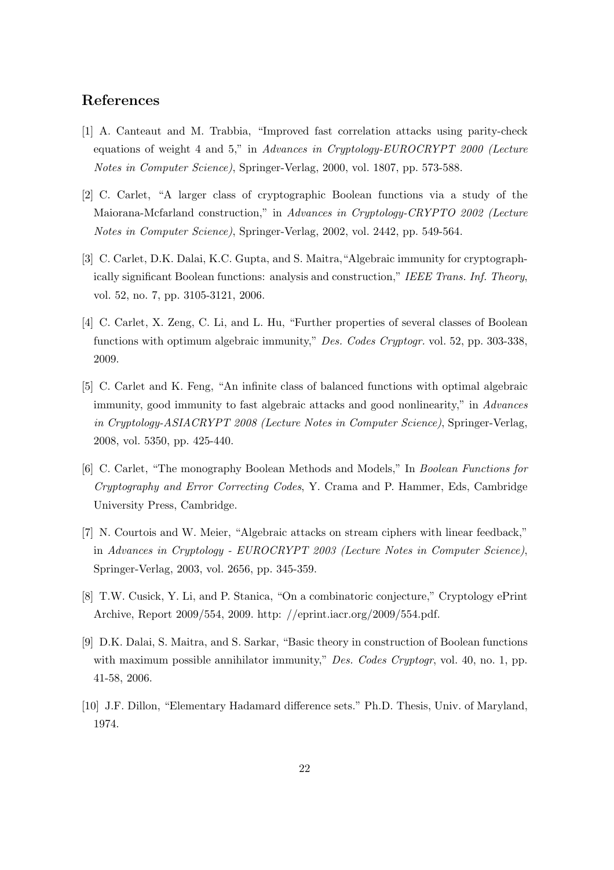# References

- [1] A. Canteaut and M. Trabbia, "Improved fast correlation attacks using parity-check equations of weight 4 and 5," in Advances in Cryptology-EUROCRYPT 2000 (Lecture Notes in Computer Science), Springer-Verlag, 2000, vol. 1807, pp. 573-588.
- [2] C. Carlet, "A larger class of cryptographic Boolean functions via a study of the Maiorana-Mcfarland construction," in Advances in Cryptology-CRYPTO 2002 (Lecture Notes in Computer Science), Springer-Verlag, 2002, vol. 2442, pp. 549-564.
- [3] C. Carlet, D.K. Dalai, K.C. Gupta, and S. Maitra,"Algebraic immunity for cryptographically significant Boolean functions: analysis and construction," IEEE Trans. Inf. Theory, vol. 52, no. 7, pp. 3105-3121, 2006.
- [4] C. Carlet, X. Zeng, C. Li, and L. Hu, "Further properties of several classes of Boolean functions with optimum algebraic immunity," Des. Codes Cryptogr. vol. 52, pp. 303-338, 2009.
- [5] C. Carlet and K. Feng, "An infinite class of balanced functions with optimal algebraic immunity, good immunity to fast algebraic attacks and good nonlinearity," in Advances in Cryptology-ASIACRYPT 2008 (Lecture Notes in Computer Science), Springer-Verlag, 2008, vol. 5350, pp. 425-440.
- [6] C. Carlet, "The monography Boolean Methods and Models," In Boolean Functions for Cryptography and Error Correcting Codes, Y. Crama and P. Hammer, Eds, Cambridge University Press, Cambridge.
- [7] N. Courtois and W. Meier, "Algebraic attacks on stream ciphers with linear feedback," in Advances in Cryptology - EUROCRYPT 2003 (Lecture Notes in Computer Science), Springer-Verlag, 2003, vol. 2656, pp. 345-359.
- [8] T.W. Cusick, Y. Li, and P. Stanica, "On a combinatoric conjecture," Cryptology ePrint Archive, Report 2009/554, 2009. http: //eprint.iacr.org/2009/554.pdf.
- [9] D.K. Dalai, S. Maitra, and S. Sarkar, "Basic theory in construction of Boolean functions with maximum possible annihilator immunity," Des. Codes Cryptogr, vol. 40, no. 1, pp. 41-58, 2006.
- [10] J.F. Dillon, "Elementary Hadamard difference sets." Ph.D. Thesis, Univ. of Maryland, 1974.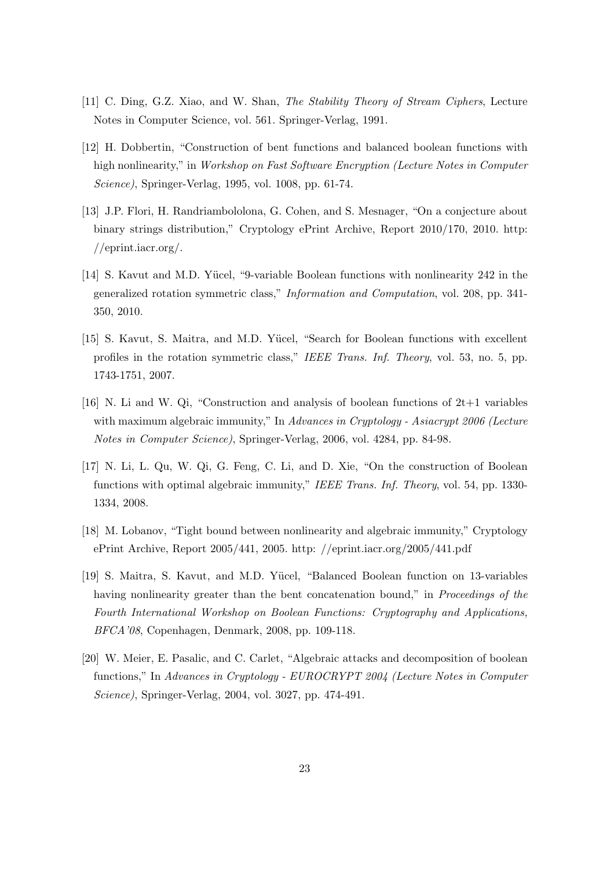- [11] C. Ding, G.Z. Xiao, and W. Shan, The Stability Theory of Stream Ciphers, Lecture Notes in Computer Science, vol. 561. Springer-Verlag, 1991.
- [12] H. Dobbertin, "Construction of bent functions and balanced boolean functions with high nonlinearity," in Workshop on Fast Software Encryption (Lecture Notes in Computer Science), Springer-Verlag, 1995, vol. 1008, pp. 61-74.
- [13] J.P. Flori, H. Randriambololona, G. Cohen, and S. Mesnager, "On a conjecture about binary strings distribution," Cryptology ePrint Archive, Report 2010/170, 2010. http: //eprint.iacr.org/.
- [14] S. Kavut and M.D. Yücel, "9-variable Boolean functions with nonlinearity 242 in the generalized rotation symmetric class," Information and Computation, vol. 208, pp. 341- 350, 2010.
- [15] S. Kavut, S. Maitra, and M.D. Yücel, "Search for Boolean functions with excellent profiles in the rotation symmetric class," IEEE Trans. Inf. Theory, vol. 53, no. 5, pp. 1743-1751, 2007.
- [16] N. Li and W. Qi, "Construction and analysis of boolean functions of 2t+1 variables with maximum algebraic immunity," In Advances in Cryptology - Asiacrypt 2006 (Lecture Notes in Computer Science), Springer-Verlag, 2006, vol. 4284, pp. 84-98.
- [17] N. Li, L. Qu, W. Qi, G. Feng, C. Li, and D. Xie, "On the construction of Boolean functions with optimal algebraic immunity," IEEE Trans. Inf. Theory, vol. 54, pp. 1330-1334, 2008.
- [18] M. Lobanov, "Tight bound between nonlinearity and algebraic immunity," Cryptology ePrint Archive, Report 2005/441, 2005. http: //eprint.iacr.org/2005/441.pdf
- [19] S. Maitra, S. Kavut, and M.D. Y¨ucel, "Balanced Boolean function on 13-variables having nonlinearity greater than the bent concatenation bound," in *Proceedings of the* Fourth International Workshop on Boolean Functions: Cryptography and Applications, BFCA'08, Copenhagen, Denmark, 2008, pp. 109-118.
- [20] W. Meier, E. Pasalic, and C. Carlet, "Algebraic attacks and decomposition of boolean functions," In Advances in Cryptology - EUROCRYPT 2004 (Lecture Notes in Computer Science), Springer-Verlag, 2004, vol. 3027, pp. 474-491.